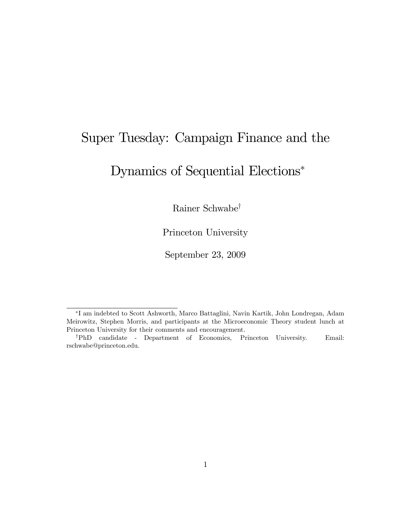# Super Tuesday: Campaign Finance and the

## Dynamics of Sequential Elections

Rainer Schwabe<sup>†</sup>

Princeton University

September 23, 2009

I am indebted to Scott Ashworth, Marco Battaglini, Navin Kartik, John Londregan, Adam Meirowitz, Stephen Morris, and participants at the Microeconomic Theory student lunch at Princeton University for their comments and encouragement.

<sup>&</sup>lt;sup>†</sup>PhD candidate - Department of Economics, Princeton University. Email: rschwabe@princeton.edu.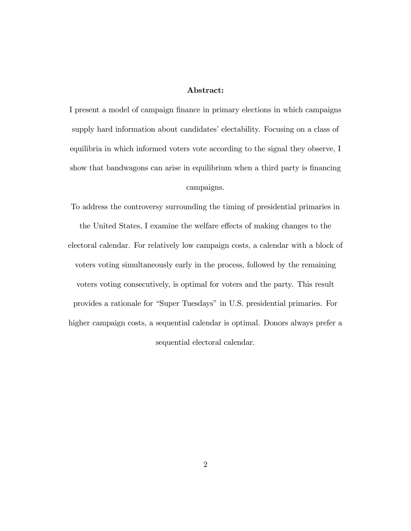#### Abstract:

I present a model of campaign Önance in primary elections in which campaigns supply hard information about candidates' electability. Focusing on a class of equilibria in which informed voters vote according to the signal they observe, I show that bandwagons can arise in equilibrium when a third party is financing campaigns.

To address the controversy surrounding the timing of presidential primaries in the United States, I examine the welfare effects of making changes to the electoral calendar. For relatively low campaign costs, a calendar with a block of voters voting simultaneously early in the process, followed by the remaining voters voting consecutively, is optimal for voters and the party. This result provides a rationale for "Super Tuesdays" in U.S. presidential primaries. For higher campaign costs, a sequential calendar is optimal. Donors always prefer a sequential electoral calendar.

2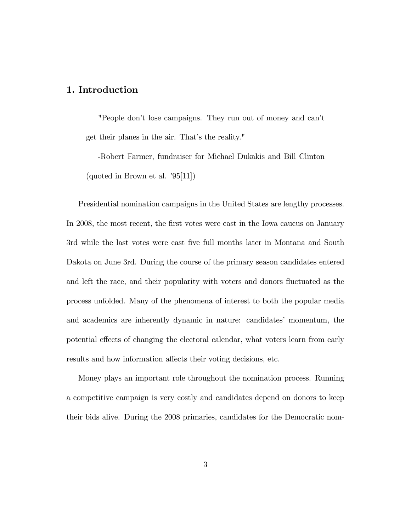## 1. Introduction

"People don't lose campaigns. They run out of money and can't get their planes in the air. That's the reality."

-Robert Farmer, fundraiser for Michael Dukakis and Bill Clinton (quoted in Brown et al.  $'95[11]$ )

Presidential nomination campaigns in the United States are lengthy processes. In 2008, the most recent, the first votes were cast in the Iowa caucus on January 3rd while the last votes were cast Öve full months later in Montana and South Dakota on June 3rd. During the course of the primary season candidates entered and left the race, and their popularity with voters and donors fluctuated as the process unfolded. Many of the phenomena of interest to both the popular media and academics are inherently dynamic in nature: candidates' momentum, the potential effects of changing the electoral calendar, what voters learn from early results and how information affects their voting decisions, etc.

Money plays an important role throughout the nomination process. Running a competitive campaign is very costly and candidates depend on donors to keep their bids alive. During the 2008 primaries, candidates for the Democratic nom-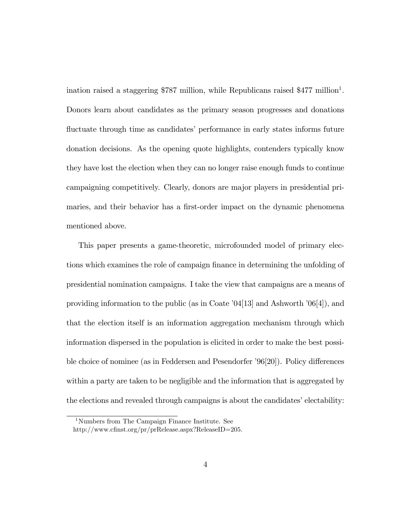ination raised a staggering \$787 million, while Republicans raised \$477 million<sup>1</sup>. Donors learn about candidates as the primary season progresses and donations fluctuate through time as candidates' performance in early states informs future donation decisions. As the opening quote highlights, contenders typically know they have lost the election when they can no longer raise enough funds to continue campaigning competitively. Clearly, donors are major players in presidential primaries, and their behavior has a first-order impact on the dynamic phenomena mentioned above.

This paper presents a game-theoretic, microfounded model of primary elections which examines the role of campaign finance in determining the unfolding of presidential nomination campaigns. I take the view that campaigns are a means of providing information to the public (as in Coate  $0.04[13]$  and Ashworth  $0.06[4]$ ), and that the election itself is an information aggregation mechanism through which information dispersed in the population is elicited in order to make the best possible choice of nominee (as in Feddersen and Pesendorfer '96[20]). Policy differences within a party are taken to be negligible and the information that is aggregated by the elections and revealed through campaigns is about the candidates' electability:

<sup>1</sup>Numbers from The Campaign Finance Institute. See

http://www.cfinst.org/pr/prRelease.aspx?ReleaseID=205.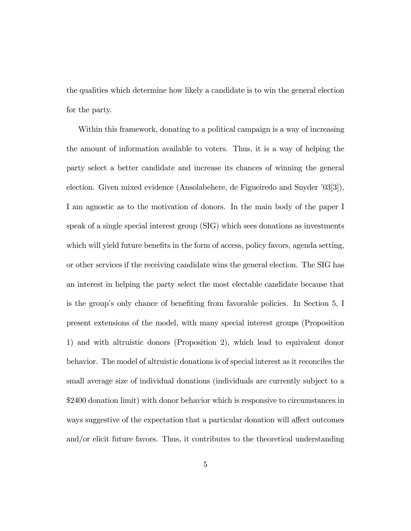the qualities which determine how likely a candidate is to win the general election for the party.

Within this framework, donating to a political campaign is a way of increasing the amount of information available to voters. Thus, it is a way of helping the party select a better candidate and increase its chances of winning the general election. Given mixed evidence (Ansolabehere, de Figueiredo and Snyder '03[3]), I am agnostic as to the motivation of donors. In the main body of the paper I speak of a single special interest group (SIG) which sees donations as investments which will yield future benefits in the form of access, policy favors, agenda setting, or other services if the receiving candidate wins the general election. The SIG has an interest in helping the party select the most electable candidate because that is the group's only chance of benefiting from favorable policies. In Section  $5$ , I present extensions of the model, with many special interest groups (Proposition 1) and with altruistic donors (Proposition 2), which lead to equivalent donor behavior. The model of altruistic donations is of special interest as it reconciles the small average size of individual donations (individuals are currently subject to a \$2400 donation limit) with donor behavior which is responsive to circumstances in ways suggestive of the expectation that a particular donation will affect outcomes and/or elicit future favors. Thus, it contributes to the theoretical understanding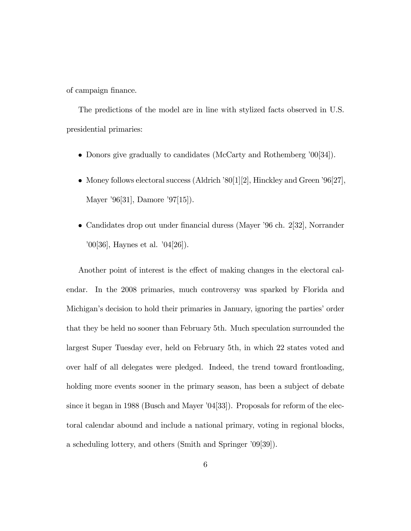of campaign finance.

The predictions of the model are in line with stylized facts observed in U.S. presidential primaries:

- Donors give gradually to candidates (McCarty and Rothemberg '00[34]).
- Money follows electoral success (Aldrich '80[1][2], Hinckley and Green '96[27], Mayer '96[31], Damore '97[15]).
- Candidates drop out under financial duress (Mayer '96 ch. 2[32], Norrander  $[00]36$ , Haynes et al.  $[04]26$ .

Another point of interest is the effect of making changes in the electoral calendar. In the 2008 primaries, much controversy was sparked by Florida and Michigan's decision to hold their primaries in January, ignoring the parties' order that they be held no sooner than February 5th. Much speculation surrounded the largest Super Tuesday ever, held on February 5th, in which 22 states voted and over half of all delegates were pledged. Indeed, the trend toward frontloading, holding more events sooner in the primary season, has been a subject of debate since it began in 1988 (Busch and Mayer  $04[33]$ ). Proposals for reform of the electoral calendar abound and include a national primary, voting in regional blocks, a scheduling lottery, and others (Smith and Springer '09[39]).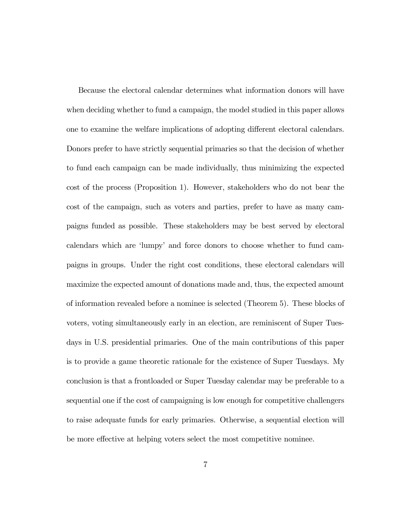Because the electoral calendar determines what information donors will have when deciding whether to fund a campaign, the model studied in this paper allows one to examine the welfare implications of adopting different electoral calendars. Donors prefer to have strictly sequential primaries so that the decision of whether to fund each campaign can be made individually, thus minimizing the expected cost of the process (Proposition 1). However, stakeholders who do not bear the cost of the campaign, such as voters and parties, prefer to have as many campaigns funded as possible. These stakeholders may be best served by electoral calendars which are ëlumpyí and force donors to choose whether to fund campaigns in groups. Under the right cost conditions, these electoral calendars will maximize the expected amount of donations made and, thus, the expected amount of information revealed before a nominee is selected (Theorem 5). These blocks of voters, voting simultaneously early in an election, are reminiscent of Super Tuesdays in U.S. presidential primaries. One of the main contributions of this paper is to provide a game theoretic rationale for the existence of Super Tuesdays. My conclusion is that a frontloaded or Super Tuesday calendar may be preferable to a sequential one if the cost of campaigning is low enough for competitive challengers to raise adequate funds for early primaries. Otherwise, a sequential election will be more effective at helping voters select the most competitive nominee.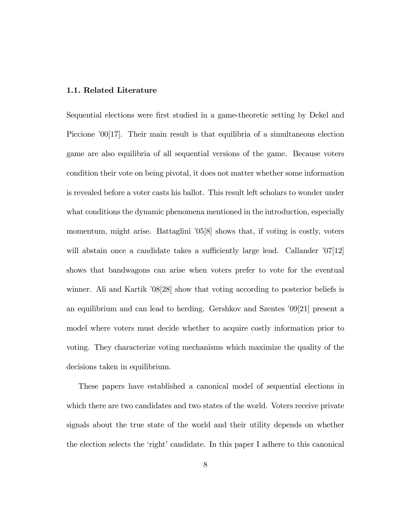#### 1.1. Related Literature

Sequential elections were first studied in a game-theoretic setting by Dekel and Piccione  $00[17]$ . Their main result is that equilibria of a simultaneous election game are also equilibria of all sequential versions of the game. Because voters condition their vote on being pivotal, it does not matter whether some information is revealed before a voter casts his ballot. This result left scholars to wonder under what conditions the dynamic phenomena mentioned in the introduction, especially momentum, might arise. Battaglini '05[8] shows that, if voting is costly, voters will abstain once a candidate takes a sufficiently large lead. Callander  $07(12)$ shows that bandwagons can arise when voters prefer to vote for the eventual winner. Ali and Kartik '08<sup>[28]</sup> show that voting according to posterior beliefs is an equilibrium and can lead to herding. Gershkov and Szentes í09[21] present a model where voters must decide whether to acquire costly information prior to voting. They characterize voting mechanisms which maximize the quality of the decisions taken in equilibrium.

These papers have established a canonical model of sequential elections in which there are two candidates and two states of the world. Voters receive private signals about the true state of the world and their utility depends on whether the election selects the 'right' candidate. In this paper I adhere to this canonical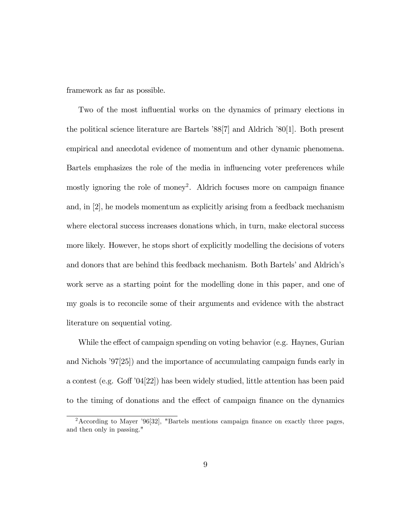framework as far as possible.

Two of the most influential works on the dynamics of primary elections in the political science literature are Bartels í88[7] and Aldrich í80[1]. Both present empirical and anecdotal evidence of momentum and other dynamic phenomena. Bartels emphasizes the role of the media in influencing voter preferences while mostly ignoring the role of money<sup>2</sup>. Aldrich focuses more on campaign finance and, in [2], he models momentum as explicitly arising from a feedback mechanism where electoral success increases donations which, in turn, make electoral success more likely. However, he stops short of explicitly modelling the decisions of voters and donors that are behind this feedback mechanism. Both Bartels' and Aldrich's work serve as a starting point for the modelling done in this paper, and one of my goals is to reconcile some of their arguments and evidence with the abstract literature on sequential voting.

While the effect of campaign spending on voting behavior (e.g. Haynes, Gurian and Nichols í97[25]) and the importance of accumulating campaign funds early in a contest (e.g. Goff  $04[22]$ ) has been widely studied, little attention has been paid to the timing of donations and the effect of campaign finance on the dynamics

<sup>&</sup>lt;sup>2</sup> According to Mayer '96[32], "Bartels mentions campaign finance on exactly three pages, and then only in passing."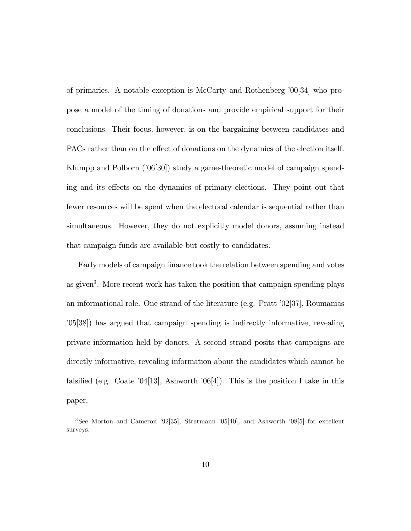of primaries. A notable exception is McCarty and Rothenberg í00[34] who propose a model of the timing of donations and provide empirical support for their conclusions. Their focus, however, is on the bargaining between candidates and PACs rather than on the effect of donations on the dynamics of the election itself. Klumpp and Polborn  $(0.06|30)$  study a game-theoretic model of campaign spending and its effects on the dynamics of primary elections. They point out that fewer resources will be spent when the electoral calendar is sequential rather than simultaneous. However, they do not explicitly model donors, assuming instead that campaign funds are available but costly to candidates.

Early models of campaign finance took the relation between spending and votes as given<sup>3</sup>. More recent work has taken the position that campaign spending plays an informational role. One strand of the literature (e.g. Pratt  $02[37]$ , Roumanias í05[38]) has argued that campaign spending is indirectly informative, revealing private information held by donors. A second strand posits that campaigns are directly informative, revealing information about the candidates which cannot be falsified (e.g. Coate '04[13], Ashworth '06[4]). This is the position I take in this paper.

 $3$ See Morton and Cameron *'92*[35], Stratmann *'05[40]*, and Ashworth *'08*[5] for excellent surveys.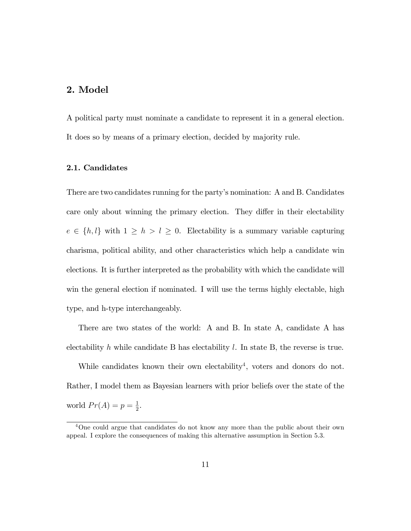## 2. Model

A political party must nominate a candidate to represent it in a general election. It does so by means of a primary election, decided by majority rule.

#### 2.1. Candidates

There are two candidates running for the party's nomination: A and B. Candidates care only about winning the primary election. They differ in their electability  $e \in \{h, l\}$  with  $1 \ge h > l \ge 0$ . Electability is a summary variable capturing charisma, political ability, and other characteristics which help a candidate win elections. It is further interpreted as the probability with which the candidate will win the general election if nominated. I will use the terms highly electable, high type, and h-type interchangeably.

There are two states of the world: A and B. In state A, candidate A has electability h while candidate B has electability  $l$ . In state B, the reverse is true.

While candidates known their own electability<sup>4</sup>, voters and donors do not. Rather, I model them as Bayesian learners with prior beliefs over the state of the world  $Pr(A) = p = \frac{1}{2}$  $\frac{1}{2}$ .

<sup>4</sup>One could argue that candidates do not know any more than the public about their own appeal. I explore the consequences of making this alternative assumption in Section 5.3.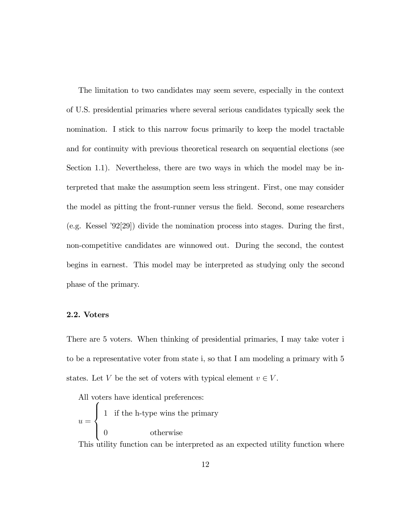The limitation to two candidates may seem severe, especially in the context of U.S. presidential primaries where several serious candidates typically seek the nomination. I stick to this narrow focus primarily to keep the model tractable and for continuity with previous theoretical research on sequential elections (see Section 1.1). Nevertheless, there are two ways in which the model may be interpreted that make the assumption seem less stringent. First, one may consider the model as pitting the front-runner versus the field. Second, some researchers (e.g. Kessel  $92[29]$ ) divide the nomination process into stages. During the first, non-competitive candidates are winnowed out. During the second, the contest begins in earnest. This model may be interpreted as studying only the second phase of the primary.

#### 2.2. Voters

There are 5 voters. When thinking of presidential primaries, I may take voter i to be a representative voter from state i, so that I am modeling a primary with 5 states. Let V be the set of voters with typical element  $v \in V$ .

All voters have identical preferences:  $\epsilon$ 

$$
u = \begin{cases} 1 & \text{if the h-type wins the primary} \\ 0 & \text{otherwise} \end{cases}
$$
  
This utility function can be interpreted as an expected utility function where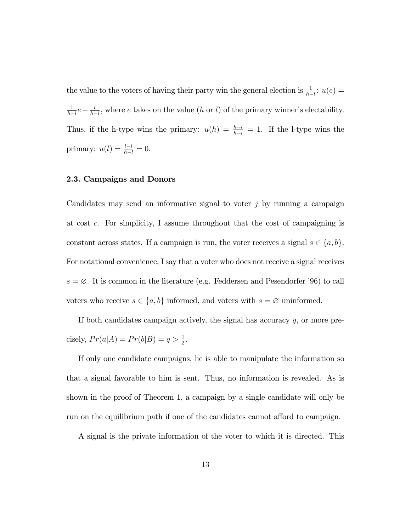the value to the voters of having their party win the general election is  $\frac{1}{h-l}$ :  $u(e)$  = 1  $\frac{1}{h-l}e-\frac{l}{h-l}$  $\frac{l}{h-l}$ , where e takes on the value (h or l) of the primary winner's electability. Thus, if the h-type wins the primary:  $u(h) = \frac{h-l}{h-l} = 1$ . If the l-type wins the primary:  $u(l) = \frac{l-l}{h-l} = 0.$ 

#### 2.3. Campaigns and Donors

Candidates may send an informative signal to voter  $j$  by running a campaign at cost c. For simplicity, I assume throughout that the cost of campaigning is constant across states. If a campaign is run, the voter receives a signal  $s \in \{a, b\}.$ For notational convenience, I say that a voter who does not receive a signal receives  $s = \emptyset$ . It is common in the literature (e.g. Feddersen and Pesendorfer '96) to call voters who receive  $s \in \{a, b\}$  informed, and voters with  $s = \emptyset$  uninformed.

If both candidates campaign actively, the signal has accuracy  $q$ , or more precisely,  $Pr(a|A) = Pr(b|B) = q > \frac{1}{2}$ .

If only one candidate campaigns, he is able to manipulate the information so that a signal favorable to him is sent. Thus, no information is revealed. As is shown in the proof of Theorem 1, a campaign by a single candidate will only be run on the equilibrium path if one of the candidates cannot afford to campaign.

A signal is the private information of the voter to which it is directed. This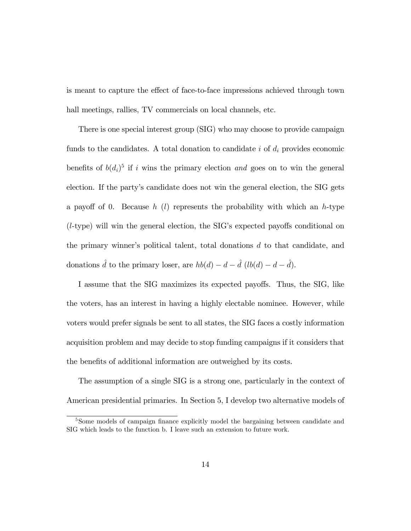is meant to capture the effect of face-to-face impressions achieved through town hall meetings, rallies, TV commercials on local channels, etc.

There is one special interest group (SIG) who may choose to provide campaign funds to the candidates. A total donation to candidate i of  $d_i$  provides economic benefits of  $b(d_i)^5$  if i wins the primary election and goes on to win the general election. If the party's candidate does not win the general election, the SIG gets a payoff of 0. Because h (l) represents the probability with which an h-type  $(l$ -type) will win the general election, the SIG's expected payoffs conditional on the primary winner's political talent, total donations  $d$  to that candidate, and donations  $\hat{d}$  to the primary loser, are  $hb(d) - d - \hat{d}$  (lb(d)  $- d - \hat{d}$ ).

I assume that the SIG maximizes its expected payoffs. Thus, the SIG, like the voters, has an interest in having a highly electable nominee. However, while voters would prefer signals be sent to all states, the SIG faces a costly information acquisition problem and may decide to stop funding campaigns if it considers that the benefits of additional information are outweighed by its costs.

The assumption of a single SIG is a strong one, particularly in the context of American presidential primaries. In Section 5, I develop two alternative models of

<sup>&</sup>lt;sup>5</sup>Some models of campaign finance explicitly model the bargaining between candidate and SIG which leads to the function b. I leave such an extension to future work.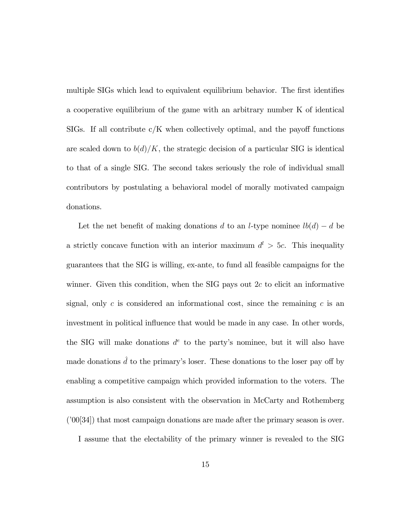multiple SIGs which lead to equivalent equilibrium behavior. The first identifies a cooperative equilibrium of the game with an arbitrary number K of identical  $SIGs$ . If all contribute  $c/K$  when collectively optimal, and the payoff functions are scaled down to  $b(d)/K$ , the strategic decision of a particular SIG is identical to that of a single SIG. The second takes seriously the role of individual small contributors by postulating a behavioral model of morally motivated campaign donations.

Let the net benefit of making donations d to an l-type nominee  $lb(d) - d$  be a strictly concave function with an interior maximum  $d^l > 5c$ . This inequality guarantees that the SIG is willing, ex-ante, to fund all feasible campaigns for the winner. Given this condition, when the SIG pays out  $2c$  to elicit an informative signal, only  $c$  is considered an informational cost, since the remaining  $c$  is an investment in political influence that would be made in any case. In other words, the SIG will make donations  $d^e$  to the party's nominee, but it will also have made donations  $\hat{d}$  to the primary's loser. These donations to the loser pay off by enabling a competitive campaign which provided information to the voters. The assumption is also consistent with the observation in McCarty and Rothemberg  $(100[34])$  that most campaign donations are made after the primary season is over.

I assume that the electability of the primary winner is revealed to the SIG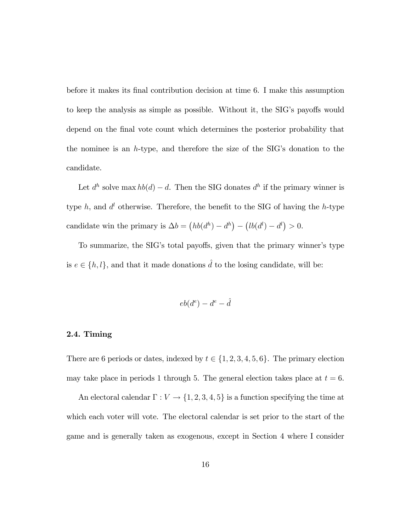before it makes its final contribution decision at time 6. I make this assumption to keep the analysis as simple as possible. Without it, the SIG's payoffs would depend on the final vote count which determines the posterior probability that the nominee is an  $h$ -type, and therefore the size of the SIG's donation to the candidate.

Let  $d^h$  solve max  $hb(d) - d$ . Then the SIG donates  $d^h$  if the primary winner is type h, and  $d^{l}$  otherwise. Therefore, the benefit to the SIG of having the h-type candidate win the primary is  $\Delta b = (hb(d^h) - d^h) - (lb(d^l) - d^l) > 0.$ 

To summarize, the SIG's total payoffs, given that the primary winner's type is  $e \in \{h, l\}$ , and that it made donations  $\hat{d}$  to the losing candidate, will be:

$$
eb(d^e) - d^e - \hat{d}
$$

#### 2.4. Timing

There are 6 periods or dates, indexed by  $t \in \{1, 2, 3, 4, 5, 6\}$ . The primary election may take place in periods 1 through 5. The general election takes place at  $t = 6$ .

An electoral calendar  $\Gamma: V \to \{1, 2, 3, 4, 5\}$  is a function specifying the time at which each voter will vote. The electoral calendar is set prior to the start of the game and is generally taken as exogenous, except in Section 4 where I consider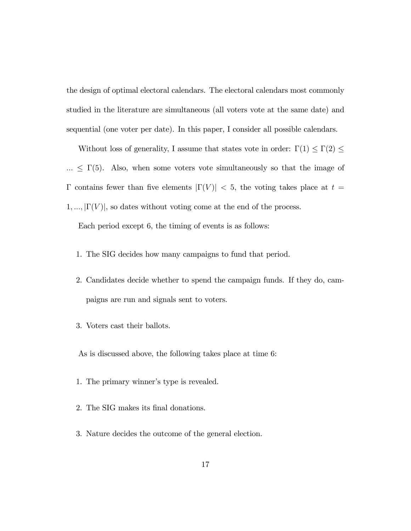the design of optimal electoral calendars. The electoral calendars most commonly studied in the literature are simultaneous (all voters vote at the same date) and sequential (one voter per date). In this paper, I consider all possible calendars.

Without loss of generality, I assume that states vote in order:  $\Gamma(1) \leq \Gamma(2) \leq$  $\ldots \leq \Gamma(5)$ . Also, when some voters vote simultaneously so that the image of  $\Gamma$  contains fewer than five elements  $|\Gamma(V)| < 5$ , the voting takes place at  $t =$  $[1, ..., |\Gamma(V)|]$ , so dates without voting come at the end of the process.

Each period except 6, the timing of events is as follows:

- 1. The SIG decides how many campaigns to fund that period.
- 2. Candidates decide whether to spend the campaign funds. If they do, campaigns are run and signals sent to voters.
- 3. Voters cast their ballots.

As is discussed above, the following takes place at time 6:

- 1. The primary winner's type is revealed.
- 2. The SIG makes its final donations.
- 3. Nature decides the outcome of the general election.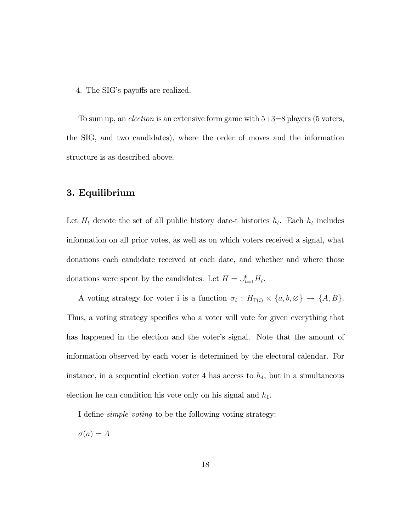4. The SIG's payoffs are realized.

To sum up, an *election* is an extensive form game with  $5+3=8$  players (5 voters, the SIG, and two candidates), where the order of moves and the information structure is as described above.

## 3. Equilibrium

Let  $H_t$  denote the set of all public history date-t histories  $h_t$ . Each  $h_t$  includes information on all prior votes, as well as on which voters received a signal, what donations each candidate received at each date, and whether and where those donations were spent by the candidates. Let  $H = \bigcup_{t=1}^{6} H_t$ .

A voting strategy for voter i is a function  $\sigma_i : H_{\Gamma(i)} \times \{a, b, \emptyset\} \to \{A, B\}.$ Thus, a voting strategy specifies who a voter will vote for given everything that has happened in the election and the voter's signal. Note that the amount of information observed by each voter is determined by the electoral calendar. For instance, in a sequential election voter 4 has access to  $h_4$ , but in a simultaneous election he can condition his vote only on his signal and  $h_1$ .

I define *simple voting* to be the following voting strategy:

 $\sigma(a) = A$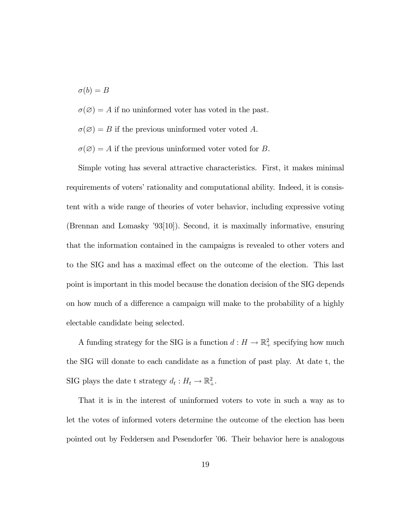- $\sigma(b) = B$
- $\sigma(\emptyset) = A$  if no uninformed voter has voted in the past.
- $\sigma(\emptyset) = B$  if the previous uninformed voter voted A.
- $\sigma(\emptyset) = A$  if the previous uninformed voter voted for B.

Simple voting has several attractive characteristics. First, it makes minimal requirements of voters' rationality and computational ability. Indeed, it is consistent with a wide range of theories of voter behavior, including expressive voting (Brennan and Lomasky '93[10]). Second, it is maximally informative, ensuring that the information contained in the campaigns is revealed to other voters and to the SIG and has a maximal effect on the outcome of the election. This last point is important in this model because the donation decision of the SIG depends on how much of a difference a campaign will make to the probability of a highly electable candidate being selected.

A funding strategy for the SIG is a function  $d: H \to \mathbb{R}^2_+$  specifying how much the SIG will donate to each candidate as a function of past play. At date t, the SIG plays the date t strategy  $d_t: H_t \to \mathbb{R}^2_+$ .

That it is in the interest of uninformed voters to vote in such a way as to let the votes of informed voters determine the outcome of the election has been pointed out by Feddersen and Pesendorfer í06. Their behavior here is analogous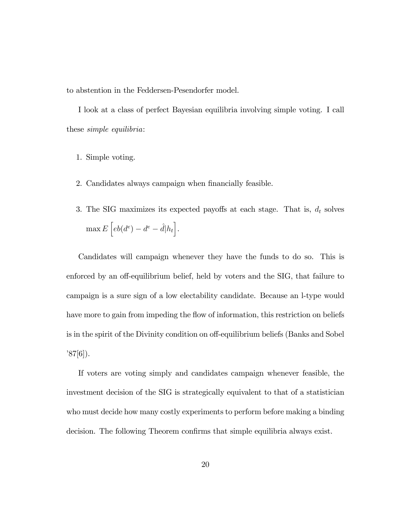to abstention in the Feddersen-Pesendorfer model.

I look at a class of perfect Bayesian equilibria involving simple voting. I call these simple equilibria:

- 1. Simple voting.
- 2. Candidates always campaign when financially feasible.
- 3. The SIG maximizes its expected payoffs at each stage. That is,  $d_t$  solves  $\max E\left[eb(d^e)-d^e-\hat{d}|h_t\right].$

Candidates will campaign whenever they have the funds to do so. This is enforced by an off-equilibrium belief, held by voters and the SIG, that failure to campaign is a sure sign of a low electability candidate. Because an l-type would have more to gain from impeding the flow of information, this restriction on beliefs is in the spirit of the Divinity condition on off-equilibrium beliefs (Banks and Sobel  $'87[6]$ ).

If voters are voting simply and candidates campaign whenever feasible, the investment decision of the SIG is strategically equivalent to that of a statistician who must decide how many costly experiments to perform before making a binding decision. The following Theorem confirms that simple equilibria always exist.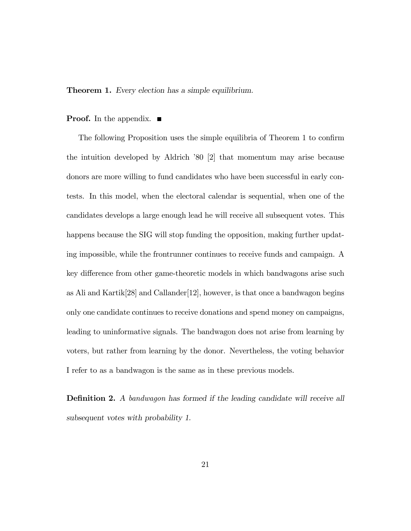Theorem 1. Every election has a simple equilibrium.

#### **Proof.** In the appendix.  $\blacksquare$

The following Proposition uses the simple equilibria of Theorem 1 to confirm the intuition developed by Aldrich í80 [2] that momentum may arise because donors are more willing to fund candidates who have been successful in early contests. In this model, when the electoral calendar is sequential, when one of the candidates develops a large enough lead he will receive all subsequent votes. This happens because the SIG will stop funding the opposition, making further updating impossible, while the frontrunner continues to receive funds and campaign. A key difference from other game-theoretic models in which bandwagons arise such as Ali and Kartik<sup>[28]</sup> and Callander<sup>[12]</sup>, however, is that once a bandwagon begins only one candidate continues to receive donations and spend money on campaigns, leading to uninformative signals. The bandwagon does not arise from learning by voters, but rather from learning by the donor. Nevertheless, the voting behavior I refer to as a bandwagon is the same as in these previous models.

**Definition 2.** A bandwagon has formed if the leading candidate will receive all subsequent votes with probability 1.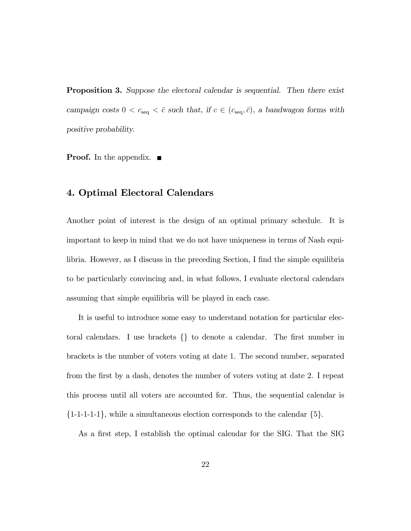Proposition 3. Suppose the electoral calendar is sequential. Then there exist campaign costs  $0 < c_{\text{seq}} < \bar{c}$  such that, if  $c \in (c_{\text{seq}}, \bar{c})$ , a bandwagon forms with positive probability.

**Proof.** In the appendix.  $\blacksquare$ 

## 4. Optimal Electoral Calendars

Another point of interest is the design of an optimal primary schedule. It is important to keep in mind that we do not have uniqueness in terms of Nash equilibria. However, as I discuss in the preceding Section, I find the simple equilibria to be particularly convincing and, in what follows, I evaluate electoral calendars assuming that simple equilibria will be played in each case.

It is useful to introduce some easy to understand notation for particular electoral calendars. I use brackets  $\{\}\$ to denote a calendar. The first number in brackets is the number of voters voting at date 1. The second number, separated from the first by a dash, denotes the number of voters voting at date 2. I repeat this process until all voters are accounted for. Thus, the sequential calendar is  ${1-1-1-1}$ , while a simultaneous election corresponds to the calendar  ${5}$ .

As a first step, I establish the optimal calendar for the SIG. That the SIG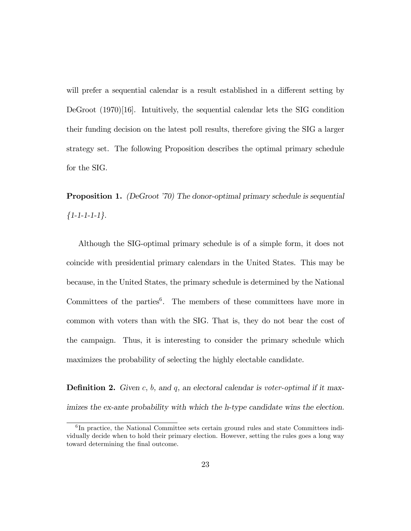will prefer a sequential calendar is a result established in a different setting by DeGroot (1970)[16]. Intuitively, the sequential calendar lets the SIG condition their funding decision on the latest poll results, therefore giving the SIG a larger strategy set. The following Proposition describes the optimal primary schedule for the SIG.

**Proposition 1.** (DeGroot '70) The donor-optimal primary schedule is sequential  ${1-1-1-1}.$ 

Although the SIG-optimal primary schedule is of a simple form, it does not coincide with presidential primary calendars in the United States. This may be because, in the United States, the primary schedule is determined by the National Committees of the parties<sup>6</sup>. The members of these committees have more in common with voters than with the SIG. That is, they do not bear the cost of the campaign. Thus, it is interesting to consider the primary schedule which maximizes the probability of selecting the highly electable candidate.

**Definition 2.** Given c, b, and q, an electoral calendar is voter-optimal if it maximizes the ex-ante probability with which the h-type candidate wins the election.

<sup>&</sup>lt;sup>6</sup>In practice, the National Committee sets certain ground rules and state Committees individually decide when to hold their primary election. However, setting the rules goes a long way toward determining the final outcome.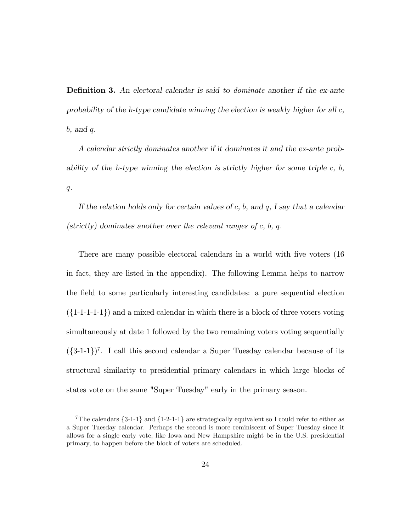**Definition 3.** An electoral calendar is said to dominate another if the ex-ante probability of the h-type candidate winning the election is weakly higher for all  $c$ ,  $b, \text{ and } q.$ 

A calendar strictly dominates another if it dominates it and the ex-ante probability of the h-type winning the election is strictly higher for some triple  $c, b$ ,  $q$ .

If the relation holds only for certain values of  $c, b$ , and  $q$ , I say that a calendar (strictly) dominates another over the relevant ranges of  $c, b, q$ .

There are many possible electoral calendars in a world with five voters (16) in fact, they are listed in the appendix). The following Lemma helps to narrow the field to some particularly interesting candidates: a pure sequential election  $({1-1-1-1}\)$  and a mixed calendar in which there is a block of three voters voting simultaneously at date 1 followed by the two remaining voters voting sequentially  $({3-1-1})^7$ . I call this second calendar a Super Tuesday calendar because of its structural similarity to presidential primary calendars in which large blocks of states vote on the same "Super Tuesday" early in the primary season.

<sup>&</sup>lt;sup>7</sup>The calendars  $\{3-1-1\}$  and  $\{1-2-1-1\}$  are strategically equivalent so I could refer to either as a Super Tuesday calendar. Perhaps the second is more reminiscent of Super Tuesday since it allows for a single early vote, like Iowa and New Hampshire might be in the U.S. presidential primary, to happen before the block of voters are scheduled.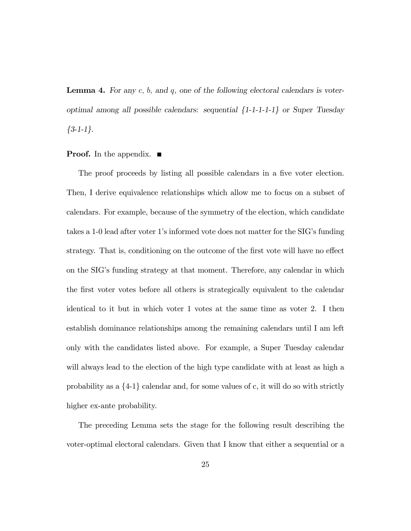**Lemma 4.** For any  $c$ ,  $b$ , and  $q$ , one of the following electoral calendars is voteroptimal among all possible calendars: sequential {1-1-1-1-1} or Super Tuesday  $\{3-1-1\}.$ 

#### **Proof.** In the appendix.  $\blacksquare$

The proof proceeds by listing all possible calendars in a five voter election. Then, I derive equivalence relationships which allow me to focus on a subset of calendars. For example, because of the symmetry of the election, which candidate takes a 1-0 lead after voter 1's informed vote does not matter for the SIG's funding strategy. That is, conditioning on the outcome of the first vote will have no effect on the SIG's funding strategy at that moment. Therefore, any calendar in which the first voter votes before all others is strategically equivalent to the calendar identical to it but in which voter 1 votes at the same time as voter 2. I then establish dominance relationships among the remaining calendars until I am left only with the candidates listed above. For example, a Super Tuesday calendar will always lead to the election of the high type candidate with at least as high a probability as a {4-1} calendar and, for some values of c, it will do so with strictly higher ex-ante probability.

The preceding Lemma sets the stage for the following result describing the voter-optimal electoral calendars. Given that I know that either a sequential or a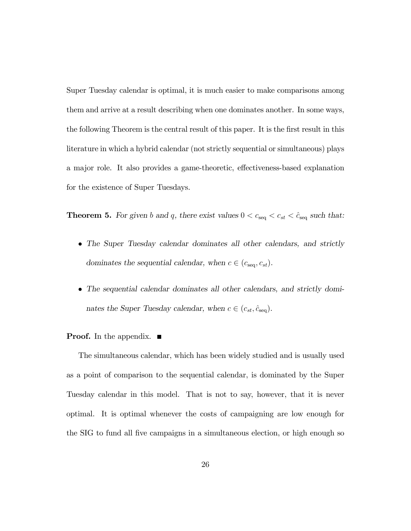Super Tuesday calendar is optimal, it is much easier to make comparisons among them and arrive at a result describing when one dominates another. In some ways, the following Theorem is the central result of this paper. It is the first result in this literature in which a hybrid calendar (not strictly sequential or simultaneous) plays a major role. It also provides a game-theoretic, effectiveness-based explanation for the existence of Super Tuesdays.

**Theorem 5.** For given b and q, there exist values  $0 < c_{\text{seq}} < c_{st} < \hat{c}_{\text{seq}}$  such that:

- The Super Tuesday calendar dominates all other calendars, and strictly dominates the sequential calendar, when  $c \in (c_{\text{seq}}, c_{\text{st}})$ .
- The sequential calendar dominates all other calendars, and strictly dominates the Super Tuesday calendar, when  $c \in (c_{st}, \hat{c}_{seq}).$

#### **Proof.** In the appendix.  $\blacksquare$

The simultaneous calendar, which has been widely studied and is usually used as a point of comparison to the sequential calendar, is dominated by the Super Tuesday calendar in this model. That is not to say, however, that it is never optimal. It is optimal whenever the costs of campaigning are low enough for the SIG to fund all five campaigns in a simultaneous election, or high enough so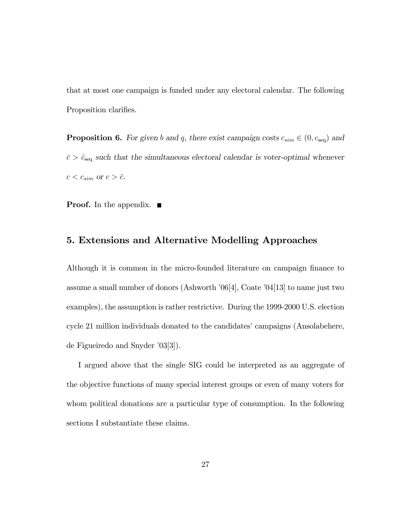that at most one campaign is funded under any electoral calendar. The following Proposition clarifies.

**Proposition 6.** For given b and q, there exist campaign costs  $c_{sim} \in (0, c_{seq})$  and  $\bar{c} > \hat{c}_{\text{seq}}$  such that the simultaneous electoral calendar is voter-optimal whenever  $c < c_{sim}$  or  $c > \overline{c}$ .

**Proof.** In the appendix.  $\blacksquare$ 

## 5. Extensions and Alternative Modelling Approaches

Although it is common in the micro-founded literature on campaign finance to assume a small number of donors (Ashworth  $0.06[4]$ , Coate  $0.04[13]$  to name just two examples), the assumption is rather restrictive. During the 1999-2000 U.S. election cycle 21 million individuals donated to the candidates' campaigns (Ansolabehere, de Figueiredo and Snyder '03[3]).

I argued above that the single SIG could be interpreted as an aggregate of the objective functions of many special interest groups or even of many voters for whom political donations are a particular type of consumption. In the following sections I substantiate these claims.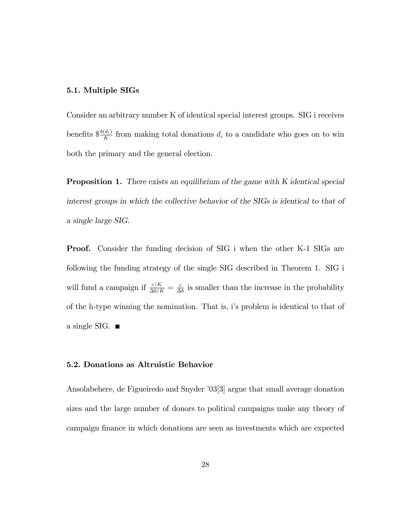#### 5.1. Multiple SIGs

Consider an arbitrary number K of identical special interest groups. SIG i receives benefits  $\frac{\mathfrak{h}(d_i)}{K}$  $\frac{d(i)}{K}$  from making total donations  $d_i$  to a candidate who goes on to win both the primary and the general election.

**Proposition 1.** There exists an equilibrium of the game with K identical special interest groups in which the collective behavior of the SIGs is identical to that of a single large SIG.

Proof. Consider the funding decision of SIG i when the other K-1 SIGs are following the funding strategy of the single SIG described in Theorem 1. SIG i will fund a campaign if  $\frac{c/K}{\Delta b/K} = \frac{c}{\Delta}$  $\frac{c}{\Delta b}$  is smaller than the increase in the probability of the h-type winning the nomination. That is, iís problem is identical to that of a single SIG.  $\blacksquare$ 

#### 5.2. Donations as Altruistic Behavior

Ansolabehere, de Figueiredo and Snyder '03[3] argue that small average donation sizes and the large number of donors to political campaigns make any theory of campaign Önance in which donations are seen as investments which are expected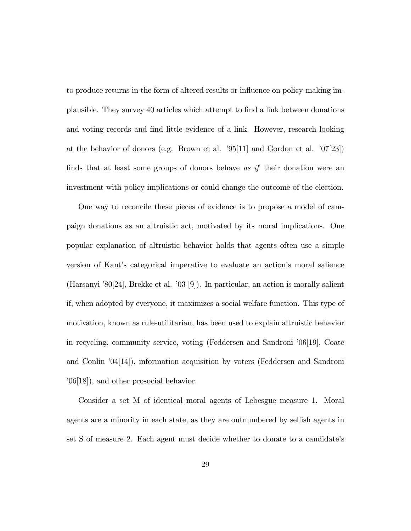to produce returns in the form of altered results or influence on policy-making implausible. They survey 40 articles which attempt to find a link between donations and voting records and find little evidence of a link. However, research looking at the behavior of donors (e.g. Brown et al.  $35[11]$  and Gordon et al.  $07[23]$ ) finds that at least some groups of donors behave as if their donation were an investment with policy implications or could change the outcome of the election.

One way to reconcile these pieces of evidence is to propose a model of campaign donations as an altruistic act, motivated by its moral implications. One popular explanation of altruistic behavior holds that agents often use a simple version of Kant's categorical imperative to evaluate an action's moral salience (Harsanyi '80[24], Brekke et al. '03 [9]). In particular, an action is morally salient if, when adopted by everyone, it maximizes a social welfare function. This type of motivation, known as rule-utilitarian, has been used to explain altruistic behavior in recycling, community service, voting (Feddersen and Sandroni '06[19], Coate and Conlin í04[14]), information acquisition by voters (Feddersen and Sandroni í06[18]), and other prosocial behavior.

Consider a set M of identical moral agents of Lebesgue measure 1. Moral agents are a minority in each state, as they are outnumbered by selfish agents in set S of measure 2. Each agent must decide whether to donate to a candidate's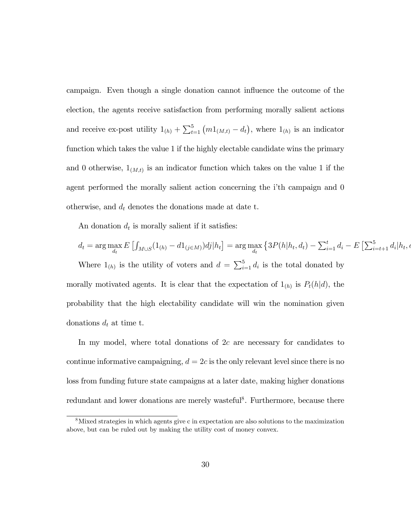campaign. Even though a single donation cannot influence the outcome of the election, the agents receive satisfaction from performing morally salient actions and receive ex-post utility  $1_{(h)} + \sum_{t=1}^{5} (m 1_{(M,t)} - d_t)$ , where  $1_{(h)}$  is an indicator function which takes the value 1 if the highly electable candidate wins the primary and 0 otherwise,  $1_{(M,t)}$  is an indicator function which takes on the value 1 if the agent performed the morally salient action concerning the i'th campaign and 0 otherwise, and  $d_t$  denotes the donations made at date t.

An donation  $d_t$  is morally salient if it satisfies:

$$
d_t = \arg \max_{d_t} E\left[\int_{M \cup S} (1_{(h)} - d1_{(j \in M)}) \, dj \right] h_t\right] = \arg \max_{d_t} \left\{ 3P(h|h_t, d_t) - \sum_{i=1}^t d_i - E\left[\sum_{i=t+1}^5 d_i \right] h_t, d_t\right\}
$$
\nWhere  $1_{(h)}$  is the utility of voters and  $d = \sum_{i=1}^5 d_i$  is the total donated by

morally motivated agents. It is clear that the expectation of  $1_{(h)}$  is  $P_t(h|d)$ , the probability that the high electability candidate will win the nomination given donations  $d_t$  at time t.

In my model, where total donations of  $2c$  are necessary for candidates to continue informative campaigning,  $d = 2c$  is the only relevant level since there is no loss from funding future state campaigns at a later date, making higher donations redundant and lower donations are merely wasteful<sup>8</sup>. Furthermore, because there

<sup>&</sup>lt;sup>8</sup>Mixed strategies in which agents give c in expectation are also solutions to the maximization above, but can be ruled out by making the utility cost of money convex.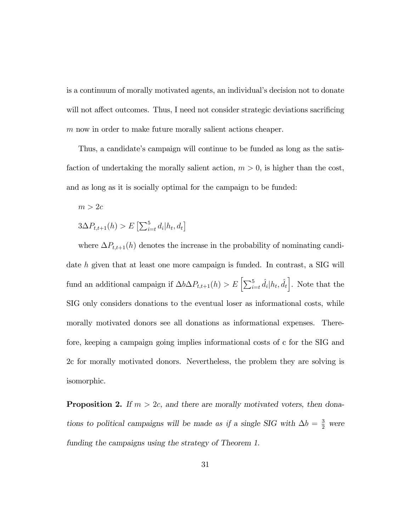is a continuum of morally motivated agents, an individual's decision not to donate will not affect outcomes. Thus, I need not consider strategic deviations sacrificing m now in order to make future morally salient actions cheaper.

Thus, a candidate's campaign will continue to be funded as long as the satisfaction of undertaking the morally salient action,  $m > 0$ , is higher than the cost, and as long as it is socially optimal for the campaign to be funded:

 $m > 2c$ 

$$
3\Delta P_{t,t+1}(h) > E\left[\sum_{i=t}^{5} d_i | h_t, d_t\right]
$$

where  $\Delta P_{t,t+1}(h)$  denotes the increase in the probability of nominating candidate h given that at least one more campaign is funded. In contrast, a SIG will fund an additional campaign if  $\Delta b \Delta P_{t,t+1}(h) > E\left[\sum_{i=t}^5 \hat{d}_i | h_t, \hat{d}_t\right]$ . Note that the SIG only considers donations to the eventual loser as informational costs, while morally motivated donors see all donations as informational expenses. Therefore, keeping a campaign going implies informational costs of c for the SIG and 2c for morally motivated donors. Nevertheless, the problem they are solving is isomorphic.

**Proposition 2.** If  $m > 2c$ , and there are morally motivated voters, then donations to political campaigns will be made as if a single SIG with  $\Delta b = \frac{3}{2}$  were funding the campaigns using the strategy of Theorem 1.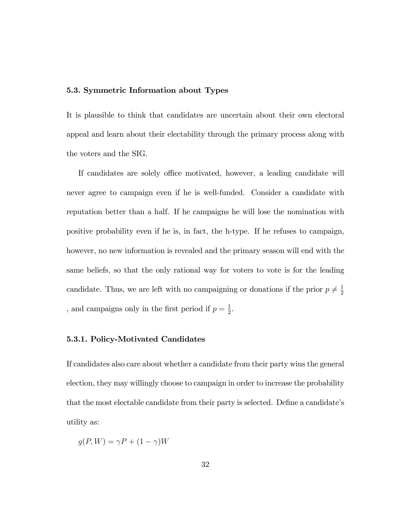#### 5.3. Symmetric Information about Types

It is plausible to think that candidates are uncertain about their own electoral appeal and learn about their electability through the primary process along with the voters and the SIG.

If candidates are solely office motivated, however, a leading candidate will never agree to campaign even if he is well-funded. Consider a candidate with reputation better than a half. If he campaigns he will lose the nomination with positive probability even if he is, in fact, the h-type. If he refuses to campaign, however, no new information is revealed and the primary season will end with the same beliefs, so that the only rational way for voters to vote is for the leading candidate. Thus, we are left with no campaigning or donations if the prior  $p \neq \frac{1}{2}$ 2 , and campaigns only in the first period if  $p=\frac{1}{2}$  $\frac{1}{2}$ .

#### 5.3.1. Policy-Motivated Candidates

If candidates also care about whether a candidate from their party wins the general election, they may willingly choose to campaign in order to increase the probability that the most electable candidate from their party is selected. Define a candidate's utility as:

 $g(P, W) = \gamma P + (1 - \gamma)W$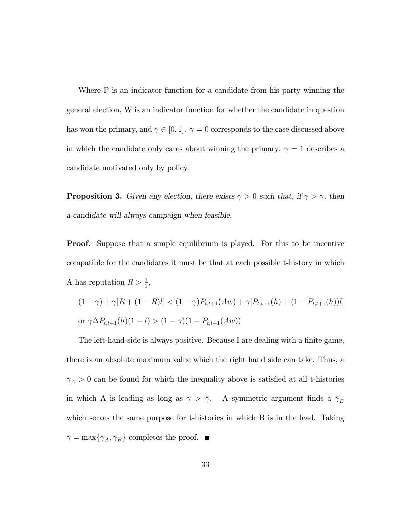Where P is an indicator function for a candidate from his party winning the general election, W is an indicator function for whether the candidate in question has won the primary, and  $\gamma \in [0, 1]$ .  $\gamma = 0$  corresponds to the case discussed above in which the candidate only cares about winning the primary.  $\gamma = 1$  describes a candidate motivated only by policy.

**Proposition 3.** Given any election, there exists  $\bar{\gamma} > 0$  such that, if  $\gamma > \bar{\gamma}$ , then a candidate will always campaign when feasible.

Proof. Suppose that a simple equilibrium is played. For this to be incentive compatible for the candidates it must be that at each possible t-history in which A has reputation  $R > \frac{1}{2}$ ,

$$
(1 - \gamma) + \gamma [R + (1 - R)l] < (1 - \gamma)P_{t,t+1}(Aw) + \gamma [P_{t,t+1}(h) + (1 - P_{t,t+1}(h))l]
$$
\nor

\n
$$
\gamma \Delta P_{t,t+1}(h)(1 - l) > (1 - \gamma)(1 - P_{t,t+1}(Aw))
$$

The left-hand-side is always positive. Because I are dealing with a finite game, there is an absolute maximum value which the right hand side can take. Thus, a  $\bar{\gamma}_A > 0$  can be found for which the inequality above is satisfied at all t-histories in which A is leading as long as  $\gamma > \bar{\gamma}$ . A symmetric argument finds a  $\bar{\gamma}_B$ which serves the same purpose for t-histories in which B is in the lead. Taking  $\bar{\gamma} = \max\{\bar{\gamma}_A, \bar{\gamma}_B\}$  completes the proof.  $\blacksquare$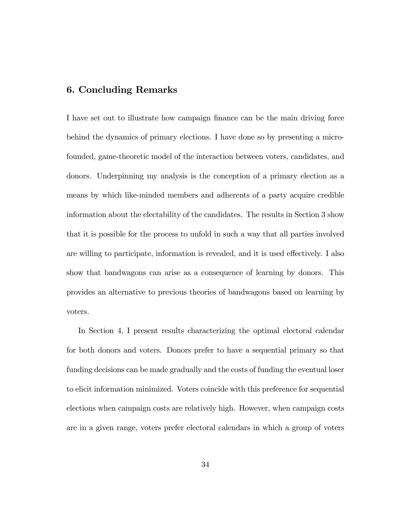## 6. Concluding Remarks

I have set out to illustrate how campaign finance can be the main driving force behind the dynamics of primary elections. I have done so by presenting a microfounded, game-theoretic model of the interaction between voters, candidates, and donors. Underpinning my analysis is the conception of a primary election as a means by which like-minded members and adherents of a party acquire credible information about the electability of the candidates. The results in Section 3 show that it is possible for the process to unfold in such a way that all parties involved are willing to participate, information is revealed, and it is used effectively. I also show that bandwagons can arise as a consequence of learning by donors. This provides an alternative to previous theories of bandwagons based on learning by voters.

In Section 4, I present results characterizing the optimal electoral calendar for both donors and voters. Donors prefer to have a sequential primary so that funding decisions can be made gradually and the costs of funding the eventual loser to elicit information minimized. Voters coincide with this preference for sequential elections when campaign costs are relatively high. However, when campaign costs are in a given range, voters prefer electoral calendars in which a group of voters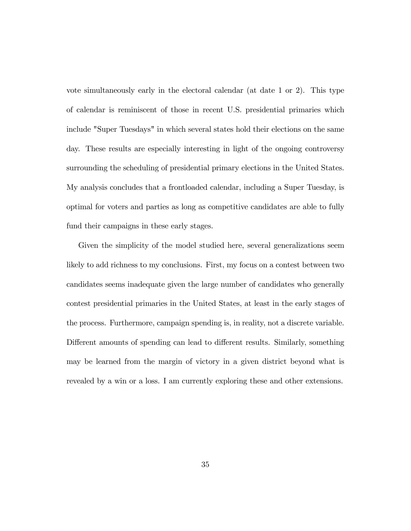vote simultaneously early in the electoral calendar (at date 1 or 2). This type of calendar is reminiscent of those in recent U.S. presidential primaries which include "Super Tuesdays" in which several states hold their elections on the same day. These results are especially interesting in light of the ongoing controversy surrounding the scheduling of presidential primary elections in the United States. My analysis concludes that a frontloaded calendar, including a Super Tuesday, is optimal for voters and parties as long as competitive candidates are able to fully fund their campaigns in these early stages.

Given the simplicity of the model studied here, several generalizations seem likely to add richness to my conclusions. First, my focus on a contest between two candidates seems inadequate given the large number of candidates who generally contest presidential primaries in the United States, at least in the early stages of the process. Furthermore, campaign spending is, in reality, not a discrete variable. Different amounts of spending can lead to different results. Similarly, something may be learned from the margin of victory in a given district beyond what is revealed by a win or a loss. I am currently exploring these and other extensions.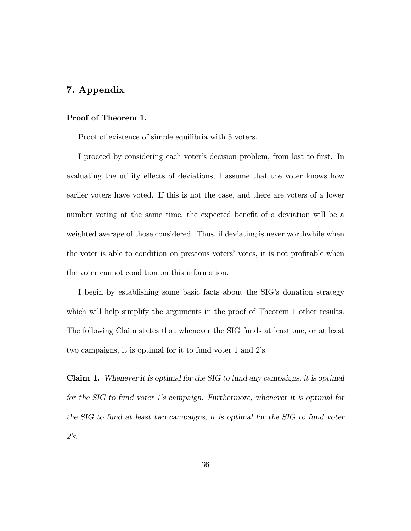## 7. Appendix

## Proof of Theorem 1.

Proof of existence of simple equilibria with 5 voters.

I proceed by considering each voter's decision problem, from last to first. In evaluating the utility effects of deviations, I assume that the voter knows how earlier voters have voted. If this is not the case, and there are voters of a lower number voting at the same time, the expected benefit of a deviation will be a weighted average of those considered. Thus, if deviating is never worthwhile when the voter is able to condition on previous voters' votes, it is not profitable when the voter cannot condition on this information.

I begin by establishing some basic facts about the SIG's donation strategy which will help simplify the arguments in the proof of Theorem 1 other results. The following Claim states that whenever the SIG funds at least one, or at least two campaigns, it is optimal for it to fund voter 1 and 2's.

Claim 1. Whenever it is optimal for the SIG to fund any campaigns, it is optimal for the SIG to fund voter 1's campaign. Furthermore, whenever it is optimal for the SIG to fund at least two campaigns, it is optimal for the SIG to fund voter  $2$ 's.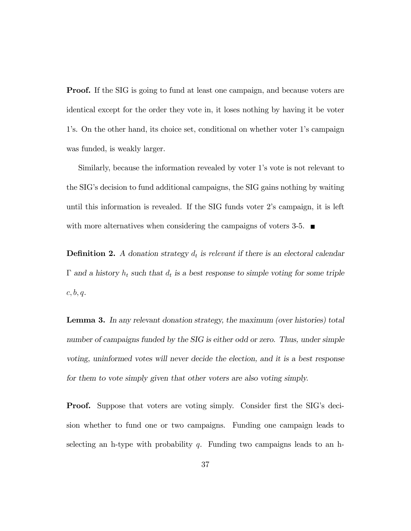Proof. If the SIG is going to fund at least one campaign, and because voters are identical except for the order they vote in, it loses nothing by having it be voter 1ís. On the other hand, its choice set, conditional on whether voter 1ís campaign was funded, is weakly larger.

Similarly, because the information revealed by voter 1ís vote is not relevant to the SIG's decision to fund additional campaigns, the SIG gains nothing by waiting until this information is revealed. If the SIG funds voter 2's campaign, it is left with more alternatives when considering the campaigns of voters  $3-5$ .

**Definition 2.** A donation strategy  $d_t$  is relevant if there is an electoral calendar  $\Gamma$  and a history  $h_t$  such that  $d_t$  is a best response to simple voting for some triple  $c, b, q.$ 

Lemma 3. In any relevant donation strategy, the maximum (over histories) total number of campaigns funded by the SIG is either odd or zero. Thus, under simple voting, uninformed votes will never decide the election, and it is a best response for them to vote simply given that other voters are also voting simply.

**Proof.** Suppose that voters are voting simply. Consider first the SIG's deci-sion whether to fund one or two campaigns. Funding one campaign leads to selecting an h-type with probability  $q$ . Funding two campaigns leads to an h-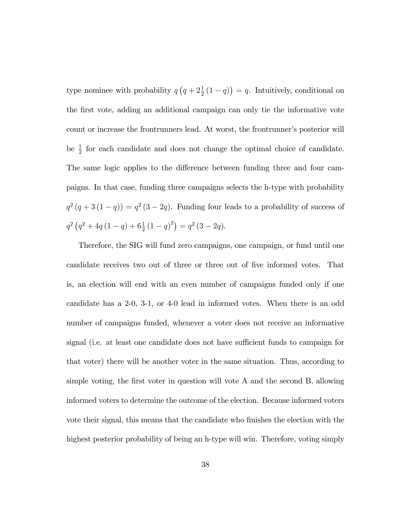type nominee with probability  $q(q+2\frac{1}{2}(1-q)) = q$ . Intuitively, conditional on the first vote, adding an additional campaign can only tie the informative vote count or increase the frontrunners lead. At worst, the frontrunner's posterior will be  $\frac{1}{2}$  for each candidate and does not change the optimal choice of candidate. The same logic applies to the difference between funding three and four campaigns. In that case, funding three campaigns selects the h-type with probability  $q^2(q+3(1-q)) = q^2(3-2q)$ . Funding four leads to a probability of success of  $q^2 (q^2 + 4q(1-q) + 6\frac{1}{2}(1-q)^2) = q^2 (3-2q).$ 

Therefore, the SIG will fund zero campaigns, one campaign, or fund until one candidate receives two out of three or three out of Öve informed votes. That is, an election will end with an even number of campaigns funded only if one candidate has a 2-0, 3-1, or 4-0 lead in informed votes. When there is an odd number of campaigns funded, whenever a voter does not receive an informative signal (i.e. at least one candidate does not have sufficient funds to campaign for that voter) there will be another voter in the same situation. Thus, according to simple voting, the first voter in question will vote A and the second B, allowing informed voters to determine the outcome of the election. Because informed voters vote their signal, this means that the candidate who finishes the election with the highest posterior probability of being an h-type will win. Therefore, voting simply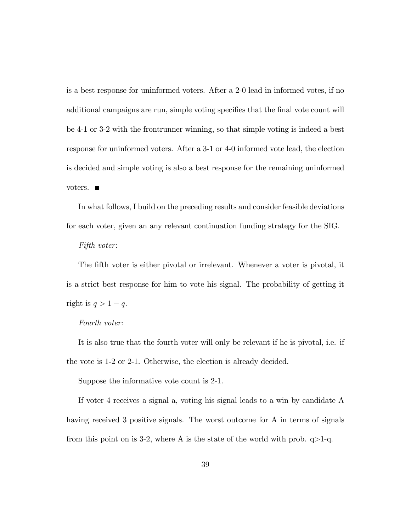is a best response for uninformed voters. After a 2-0 lead in informed votes, if no additional campaigns are run, simple voting specifies that the final vote count will be 4-1 or 3-2 with the frontrunner winning, so that simple voting is indeed a best response for uninformed voters. After a 3-1 or 4-0 informed vote lead, the election is decided and simple voting is also a best response for the remaining uninformed voters.  $\blacksquare$ 

In what follows, I build on the preceding results and consider feasible deviations for each voter, given an any relevant continuation funding strategy for the SIG.

#### Fifth voter:

The fifth voter is either pivotal or irrelevant. Whenever a voter is pivotal, it is a strict best response for him to vote his signal. The probability of getting it right is  $q > 1 - q$ .

#### Fourth voter:

It is also true that the fourth voter will only be relevant if he is pivotal, i.e. if the vote is 1-2 or 2-1. Otherwise, the election is already decided.

Suppose the informative vote count is 2-1.

If voter 4 receives a signal a, voting his signal leads to a win by candidate A having received 3 positive signals. The worst outcome for A in terms of signals from this point on is 3-2, where A is the state of the world with prob.  $q>1-q$ .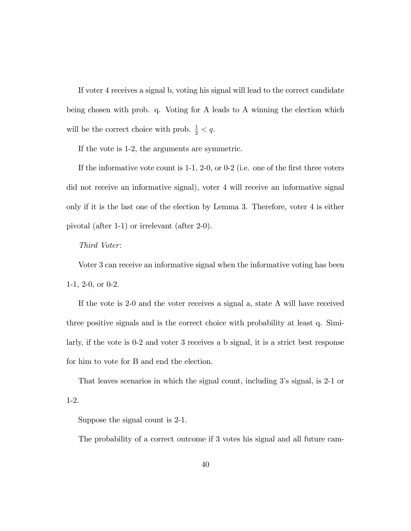If voter 4 receives a signal b, voting his signal will lead to the correct candidate being chosen with prob. q. Voting for A leads to A winning the election which will be the correct choice with prob.  $\frac{1}{2} < q$ .

If the vote is 1-2, the arguments are symmetric.

If the informative vote count is  $1-1$ ,  $2-0$ , or  $0-2$  (i.e. one of the first three voters did not receive an informative signal), voter 4 will receive an informative signal only if it is the last one of the election by Lemma 3. Therefore, voter 4 is either pivotal (after 1-1) or irrelevant (after 2-0).

#### Third Voter:

Voter 3 can receive an informative signal when the informative voting has been 1-1, 2-0, or 0-2.

If the vote is 2-0 and the voter receives a signal a, state A will have received three positive signals and is the correct choice with probability at least q. Similarly, if the vote is 0-2 and voter 3 receives a b signal, it is a strict best response for him to vote for B and end the election.

That leaves scenarios in which the signal count, including 3ís signal, is 2-1 or 1-2.

Suppose the signal count is 2-1.

The probability of a correct outcome if 3 votes his signal and all future cam-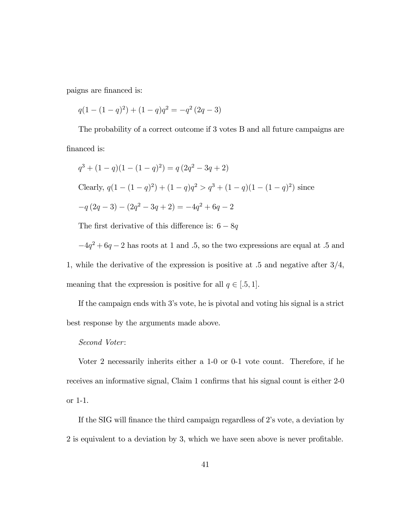paigns are financed is:

$$
q(1 - (1 - q)^{2}) + (1 - q)q^{2} = -q^{2}(2q - 3)
$$

The probability of a correct outcome if 3 votes B and all future campaigns are financed is:

$$
q^{3} + (1 - q)(1 - (1 - q)^{2}) = q(2q^{2} - 3q + 2)
$$
  
Clearly,  $q(1 - (1 - q)^{2}) + (1 - q)q^{2} > q^{3} + (1 - q)(1 - (1 - q)^{2})$  since  
 $-q(2q - 3) - (2q^{2} - 3q + 2) = -4q^{2} + 6q - 2$ 

The first derivative of this difference is:  $6 - 8q$ 

 $-4q^2 + 6q - 2$  has roots at 1 and .5, so the two expressions are equal at .5 and 1, while the derivative of the expression is positive at .5 and negative after 3/4, meaning that the expression is positive for all  $q \in [.5,1]$ .

If the campaign ends with 3ís vote, he is pivotal and voting his signal is a strict best response by the arguments made above.

#### Second Voter:

Voter 2 necessarily inherits either a 1-0 or 0-1 vote count. Therefore, if he receives an informative signal, Claim 1 confirms that his signal count is either 2-0 or 1-1.

If the SIG will finance the third campaign regardless of 2's vote, a deviation by 2 is equivalent to a deviation by 3, which we have seen above is never profitable.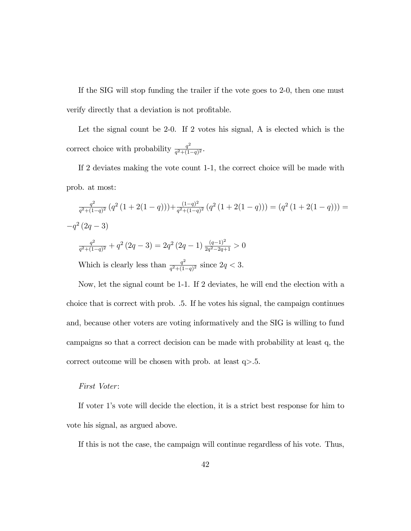If the SIG will stop funding the trailer if the vote goes to 2-0, then one must verify directly that a deviation is not profitable.

Let the signal count be 2-0. If 2 votes his signal, A is elected which is the correct choice with probability  $\frac{q^2}{a^2+(1)}$  $\frac{q^2}{q^2+(1-q)^2}$ .

If 2 deviates making the vote count 1-1, the correct choice will be made with prob. at most:

$$
\frac{q^2}{q^2 + (1-q)^2} \left( q^2 \left( 1 + 2(1-q) \right) \right) + \frac{(1-q)^2}{q^2 + (1-q)^2} \left( q^2 \left( 1 + 2(1-q) \right) \right) = (q^2 \left( 1 + 2(1-q) \right)) =
$$
  

$$
-q^2 \left( 2q - 3 \right)
$$
  

$$
\frac{q^2}{q^2 + (1-q)^2} + q^2 \left( 2q - 3 \right) = 2q^2 \left( 2q - 1 \right) \frac{(q-1)^2}{2q^2 - 2q + 1} > 0
$$
  
Which is clearly less than  $\frac{q^2}{q^2 + (1-q)^2}$  since  $2q < 3$ .

Now, let the signal count be 1-1. If 2 deviates, he will end the election with a choice that is correct with prob. .5. If he votes his signal, the campaign continues and, because other voters are voting informatively and the SIG is willing to fund campaigns so that a correct decision can be made with probability at least q, the correct outcome will be chosen with prob. at least q>.5.

#### First Voter:

If voter 1ís vote will decide the election, it is a strict best response for him to vote his signal, as argued above.

If this is not the case, the campaign will continue regardless of his vote. Thus,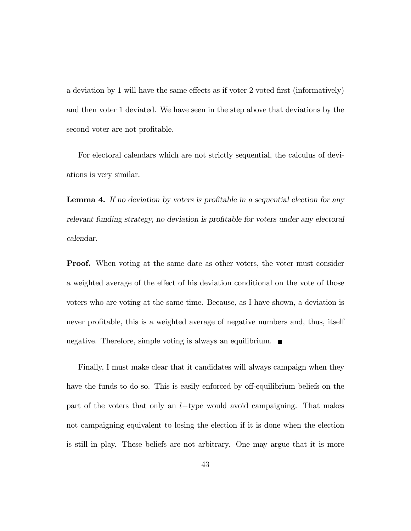a deviation by  $1$  will have the same effects as if voter  $2$  voted first (informatively) and then voter 1 deviated. We have seen in the step above that deviations by the second voter are not profitable.

For electoral calendars which are not strictly sequential, the calculus of deviations is very similar.

**Lemma 4.** If no deviation by voters is profitable in a sequential election for any relevant funding strategy, no deviation is profitable for voters under any electoral calendar.

**Proof.** When voting at the same date as other voters, the voter must consider a weighted average of the effect of his deviation conditional on the vote of those voters who are voting at the same time. Because, as I have shown, a deviation is never profitable, this is a weighted average of negative numbers and, thus, itself negative. Therefore, simple voting is always an equilibrium.  $\blacksquare$ 

Finally, I must make clear that it candidates will always campaign when they have the funds to do so. This is easily enforced by off-equilibrium beliefs on the part of the voters that only an  $l$ -type would avoid campaigning. That makes not campaigning equivalent to losing the election if it is done when the election is still in play. These beliefs are not arbitrary. One may argue that it is more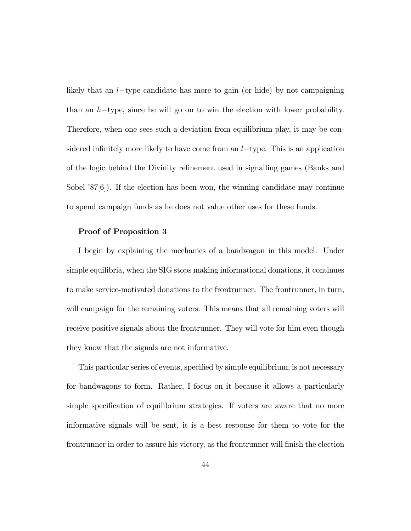likely that an  $l$ -type candidate has more to gain (or hide) by not campaigning than an  $h$ -type, since he will go on to win the election with lower probability. Therefore, when one sees such a deviation from equilibrium play, it may be considered infinitely more likely to have come from an  $l$ -type. This is an application of the logic behind the Divinity refinement used in signalling games (Banks and Sobel '87[6]). If the election has been won, the winning candidate may continue to spend campaign funds as he does not value other uses for these funds.

#### Proof of Proposition 3

I begin by explaining the mechanics of a bandwagon in this model. Under simple equilibria, when the SIG stops making informational donations, it continues to make service-motivated donations to the frontrunner. The frontrunner, in turn, will campaign for the remaining voters. This means that all remaining voters will receive positive signals about the frontrunner. They will vote for him even though they know that the signals are not informative.

This particular series of events, specified by simple equilibrium, is not necessary for bandwagons to form. Rather, I focus on it because it allows a particularly simple specification of equilibrium strategies. If voters are aware that no more informative signals will be sent, it is a best response for them to vote for the frontrunner in order to assure his victory, as the frontrunner will finish the election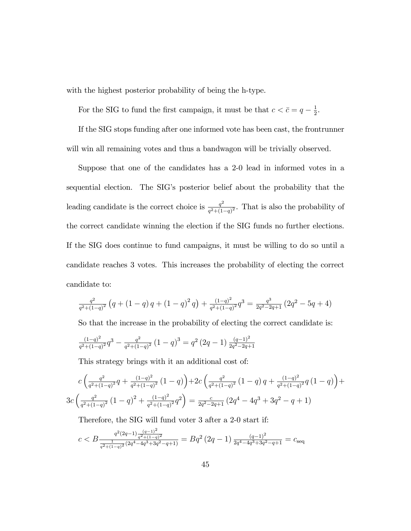with the highest posterior probability of being the h-type.

For the SIG to fund the first campaign, it must be that  $c < \bar{c} = q - \frac{1}{2}$  $\frac{1}{2}$ .

If the SIG stops funding after one informed vote has been cast, the frontrunner will win all remaining votes and thus a bandwagon will be trivially observed.

Suppose that one of the candidates has a 2-0 lead in informed votes in a sequential election. The SIG's posterior belief about the probability that the leading candidate is the correct choice is  $\frac{q^2}{a^2+(1)}$  $\frac{q^2}{q^2+(1-q)^2}$ . That is also the probability of the correct candidate winning the election if the SIG funds no further elections. If the SIG does continue to fund campaigns, it must be willing to do so until a candidate reaches 3 votes. This increases the probability of electing the correct candidate to:

$$
\frac{q^2}{q^2 + (1-q)^2} \left( q + (1-q) q + (1-q)^2 q \right) + \frac{(1-q)^2}{q^2 + (1-q)^2} q^3 = \frac{q^3}{2q^2 - 2q + 1} \left( 2q^2 - 5q + 4 \right)
$$

So that the increase in the probability of electing the correct candidate is:

$$
\frac{(1-q)^2}{q^2+(1-q)^2}q^3 - \frac{q^2}{q^2+(1-q)^2}(1-q)^3 = q^2(2q-1)\frac{(q-1)^2}{2q^2-2q+1}
$$

This strategy brings with it an additional cost of:

$$
c\left(\frac{q^2}{q^2+(1-q)^2}q + \frac{(1-q)^2}{q^2+(1-q)^2}\left(1-q\right)\right) + 2c\left(\frac{q^2}{q^2+(1-q)^2}\left(1-q\right)q + \frac{(1-q)^2}{q^2+(1-q)^2}q\left(1-q\right)\right) + 3c\left(\frac{q^2}{q^2+(1-q)^2}\left(1-q\right)^2 + \frac{(1-q)^2}{q^2+(1-q)^2}q^2\right) = \frac{c}{2q^2-2q+1}\left(2q^4 - 4q^3 + 3q^2 - q + 1\right)
$$

Therefore, the SIG will fund voter 3 after a 2-0 start if:

$$
c < B \frac{q^2 (2q-1) \frac{(q-1)^2}{q^2 + (1-q)^2}}{\frac{1}{q^2 + (1-q)^2} (2q^4 - 4q^3 + 3q^2 - q + 1)} = Bq^2 (2q - 1) \frac{(q-1)^2}{2q^4 - 4q^3 + 3q^2 - q + 1} = c_{\text{seq}}
$$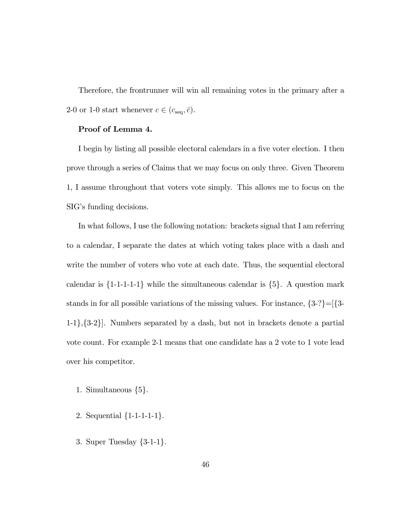Therefore, the frontrunner will win all remaining votes in the primary after a 2-0 or 1-0 start whenever  $c \in (c_{\text{seq}}, \bar{c})$ .

#### Proof of Lemma 4.

I begin by listing all possible electoral calendars in a five voter election. I then prove through a series of Claims that we may focus on only three. Given Theorem 1, I assume throughout that voters vote simply. This allows me to focus on the SIG's funding decisions.

In what follows, I use the following notation: brackets signal that I am referring to a calendar, I separate the dates at which voting takes place with a dash and write the number of voters who vote at each date. Thus, the sequential electoral calendar is  $\{1\text{-}1\text{-}1\text{-}1\}$  while the simultaneous calendar is  $\{5\}$ . A question mark stands in for all possible variations of the missing values. For instance, {3-?}=[{3- 1-1},{3-2}]. Numbers separated by a dash, but not in brackets denote a partial vote count. For example 2-1 means that one candidate has a 2 vote to 1 vote lead over his competitor.

- 1. Simultaneous {5}.
- 2. Sequential {1-1-1-1-1}.
- 3. Super Tuesday {3-1-1}.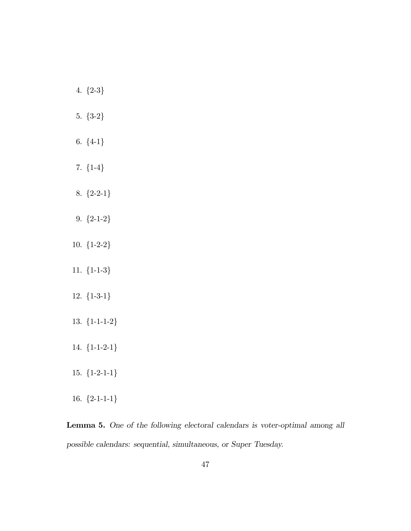- 4. {2-3}
- 5. {3-2}
- 6. {4-1}
- 7. {1-4}
- 8. {2-2-1}
- 9. {2-1-2}
- 10. {1-2-2}
- 11. {1-1-3}
- 12. {1-3-1}
- 13. {1-1-1-2}
- 14. {1-1-2-1}
- 15. {1-2-1-1}
- 16. {2-1-1-1}

Lemma 5. One of the following electoral calendars is voter-optimal among all possible calendars: sequential, simultaneous, or Super Tuesday.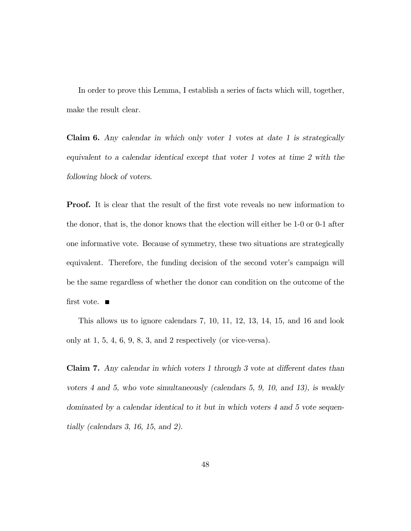In order to prove this Lemma, I establish a series of facts which will, together, make the result clear.

Claim 6. Any calendar in which only voter 1 votes at date 1 is strategically equivalent to a calendar identical except that voter 1 votes at time 2 with the following block of voters.

**Proof.** It is clear that the result of the first vote reveals no new information to the donor, that is, the donor knows that the election will either be 1-0 or 0-1 after one informative vote. Because of symmetry, these two situations are strategically equivalent. Therefore, the funding decision of the second voter's campaign will be the same regardless of whether the donor can condition on the outcome of the first vote.  $\blacksquare$ 

This allows us to ignore calendars 7, 10, 11, 12, 13, 14, 15, and 16 and look only at  $1, 5, 4, 6, 9, 8, 3,$  and  $2$  respectively (or vice-versa).

Claim 7. Any calendar in which voters 1 through 3 vote at different dates than voters 4 and 5, who vote simultaneously (calendars 5, 9, 10, and 13), is weakly dominated by a calendar identical to it but in which voters 4 and 5 vote sequentially (calendars 3, 16, 15, and 2).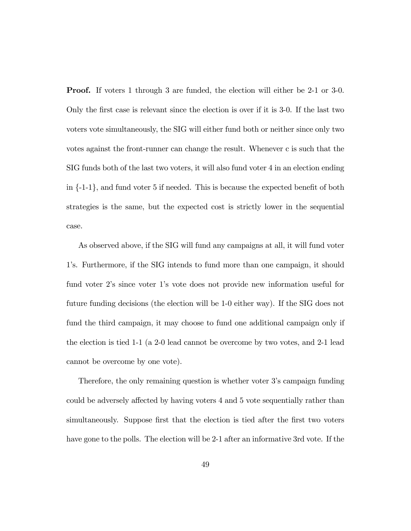Proof. If voters 1 through 3 are funded, the election will either be 2-1 or 3-0. Only the first case is relevant since the election is over if it is 3-0. If the last two voters vote simultaneously, the SIG will either fund both or neither since only two votes against the front-runner can change the result. Whenever c is such that the SIG funds both of the last two voters, it will also fund voter 4 in an election ending in  $\{-1-1\}$ , and fund voter 5 if needed. This is because the expected benefit of both strategies is the same, but the expected cost is strictly lower in the sequential case.

As observed above, if the SIG will fund any campaigns at all, it will fund voter 1ís. Furthermore, if the SIG intends to fund more than one campaign, it should fund voter 2ís since voter 1ís vote does not provide new information useful for future funding decisions (the election will be 1-0 either way). If the SIG does not fund the third campaign, it may choose to fund one additional campaign only if the election is tied 1-1 (a 2-0 lead cannot be overcome by two votes, and 2-1 lead cannot be overcome by one vote).

Therefore, the only remaining question is whether voter 3ís campaign funding could be adversely affected by having voters 4 and 5 vote sequentially rather than simultaneously. Suppose first that the election is tied after the first two voters have gone to the polls. The election will be 2-1 after an informative 3rd vote. If the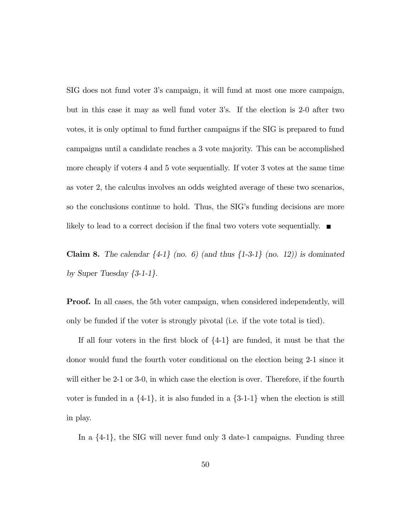SIG does not fund voter 3ís campaign, it will fund at most one more campaign, but in this case it may as well fund voter 3ís. If the election is 2-0 after two votes, it is only optimal to fund further campaigns if the SIG is prepared to fund campaigns until a candidate reaches a 3 vote majority. This can be accomplished more cheaply if voters 4 and 5 vote sequentially. If voter 3 votes at the same time as voter 2, the calculus involves an odds weighted average of these two scenarios, so the conclusions continue to hold. Thus, the SIG's funding decisions are more likely to lead to a correct decision if the final two voters vote sequentially.  $\blacksquare$ 

**Claim 8.** The calendar  $\{4-1\}$  (no. 6) (and thus  $\{1-3-1\}$  (no. 12)) is dominated by Super Tuesday  $\{3-1-1\}$ .

Proof. In all cases, the 5th voter campaign, when considered independently, will only be funded if the voter is strongly pivotal (i.e. if the vote total is tied).

If all four voters in the first block of  $\{4-1\}$  are funded, it must be that the donor would fund the fourth voter conditional on the election being 2-1 since it will either be 2-1 or 3-0, in which case the election is over. Therefore, if the fourth voter is funded in a  $\{4-1\}$ , it is also funded in a  $\{3-1-1\}$  when the election is still in play.

In a {4-1}, the SIG will never fund only 3 date-1 campaigns. Funding three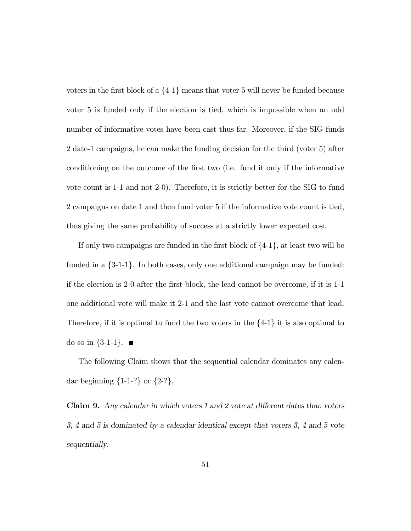voters in the first block of a  $\{4-1\}$  means that voter 5 will never be funded because voter 5 is funded only if the election is tied, which is impossible when an odd number of informative votes have been cast thus far. Moreover, if the SIG funds 2 date-1 campaigns, he can make the funding decision for the third (voter 5) after conditioning on the outcome of the first two (i.e. fund it only if the informative vote count is 1-1 and not 2-0). Therefore, it is strictly better for the SIG to fund 2 campaigns on date 1 and then fund voter 5 if the informative vote count is tied, thus giving the same probability of success at a strictly lower expected cost.

If only two campaigns are funded in the first block of  $\{4-1\}$ , at least two will be funded in a {3-1-1}. In both cases, only one additional campaign may be funded: if the election is 2-0 after the Örst block, the lead cannot be overcome, if it is 1-1 one additional vote will make it 2-1 and the last vote cannot overcome that lead. Therefore, if it is optimal to fund the two voters in the  $\{4-1\}$  it is also optimal to do so in  $\{3-1-1\}$ .

The following Claim shows that the sequential calendar dominates any calendar beginning  $\{1-1-? \}$  or  $\{2-? \}$ .

**Claim 9.** Any calendar in which voters 1 and 2 vote at different dates than voters 3, 4 and 5 is dominated by a calendar identical except that voters 3, 4 and 5 vote sequentially.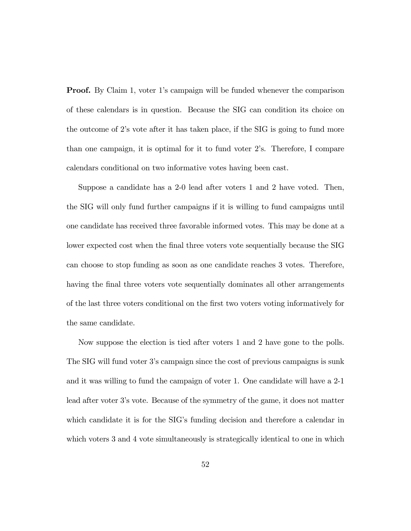**Proof.** By Claim 1, voter 1's campaign will be funded whenever the comparison of these calendars is in question. Because the SIG can condition its choice on the outcome of 2ís vote after it has taken place, if the SIG is going to fund more than one campaign, it is optimal for it to fund voter 2ís. Therefore, I compare calendars conditional on two informative votes having been cast.

Suppose a candidate has a 2-0 lead after voters 1 and 2 have voted. Then, the SIG will only fund further campaigns if it is willing to fund campaigns until one candidate has received three favorable informed votes. This may be done at a lower expected cost when the final three voters vote sequentially because the SIG can choose to stop funding as soon as one candidate reaches 3 votes. Therefore, having the final three voters vote sequentially dominates all other arrangements of the last three voters conditional on the Örst two voters voting informatively for the same candidate.

Now suppose the election is tied after voters 1 and 2 have gone to the polls. The SIG will fund voter 3ís campaign since the cost of previous campaigns is sunk and it was willing to fund the campaign of voter 1. One candidate will have a 2-1 lead after voter 3ís vote. Because of the symmetry of the game, it does not matter which candidate it is for the SIG's funding decision and therefore a calendar in which voters 3 and 4 vote simultaneously is strategically identical to one in which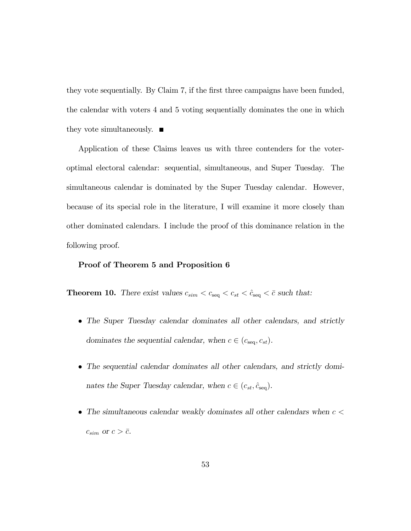they vote sequentially. By Claim 7, if the first three campaigns have been funded, the calendar with voters 4 and 5 voting sequentially dominates the one in which they vote simultaneously.  $\blacksquare$ 

Application of these Claims leaves us with three contenders for the voteroptimal electoral calendar: sequential, simultaneous, and Super Tuesday. The simultaneous calendar is dominated by the Super Tuesday calendar. However, because of its special role in the literature, I will examine it more closely than other dominated calendars. I include the proof of this dominance relation in the following proof.

#### Proof of Theorem 5 and Proposition 6

**Theorem 10.** There exist values  $c_{\text{sim}} < c_{\text{seq}} < c_{\text{st}} < \hat{c}_{\text{seq}} < \bar{c}$  such that:

- The Super Tuesday calendar dominates all other calendars, and strictly dominates the sequential calendar, when  $c \in (c_{\text{seq}}, c_{st})$ .
- The sequential calendar dominates all other calendars, and strictly dominates the Super Tuesday calendar, when  $c \in (c_{st}, \hat{c}_{\text{seq}}).$
- The simultaneous calendar weakly dominates all other calendars when  $c <$  $c_{sim}$  or  $c > \bar{c}$ .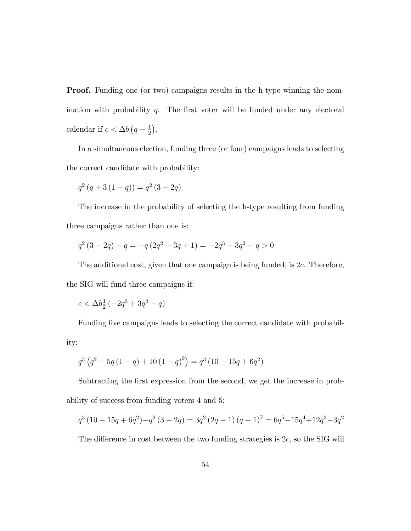Proof. Funding one (or two) campaigns results in the h-type winning the nomination with probability  $q$ . The first voter will be funded under any electoral calendar if  $c < \Delta b (q - \frac{1}{2})$  $\frac{1}{2}$ .

In a simultaneous election, funding three (or four) campaigns leads to selecting the correct candidate with probability:

$$
q^{2} (q + 3 (1 - q)) = q^{2} (3 - 2q)
$$

The increase in the probability of selecting the h-type resulting from funding three campaigns rather than one is:

$$
q^{2}(3-2q) - q = -q(2q^{2} - 3q + 1) = -2q^{3} + 3q^{2} - q > 0
$$

The additional cost, given that one campaign is being funded, is 2c. Therefore, the SIG will fund three campaigns if:

$$
c < \Delta b_{\frac{1}{2}}(-2q^3 + 3q^2 - q)
$$

Funding five campaigns leads to selecting the correct candidate with probability:

$$
q^{3}(q^{2} + 5q(1-q) + 10(1-q)^{2}) = q^{3}(10 - 15q + 6q^{2})
$$

Subtracting the first expression from the second, we get the increase in probability of success from funding voters 4 and 5:

$$
q^{3}(10-15q+6q^{2})-q^{2}(3-2q)=3q^{2}(2q-1)(q-1)^{2}=6q^{5}-15q^{4}+12q^{3}-3q^{2}
$$

The difference in cost between the two funding strategies is  $2c$ , so the SIG will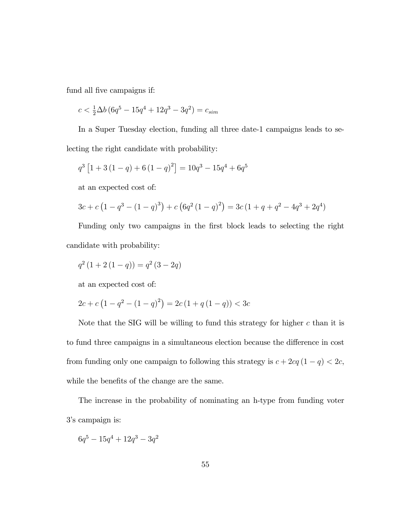fund all five campaigns if:

$$
c < \frac{1}{2}\Delta b \left( 6q^5 - 15q^4 + 12q^3 - 3q^2 \right) = c_{sim}
$$

In a Super Tuesday election, funding all three date-1 campaigns leads to selecting the right candidate with probability:

$$
q^{3}[1+3(1-q)+6(1-q)^{2}] = 10q^{3} - 15q^{4} + 6q^{5}
$$

at an expected cost of:

$$
3c + c\left(1 - q^3 - (1 - q)^3\right) + c\left(6q^2\left(1 - q\right)^2\right) = 3c\left(1 + q + q^2 - 4q^3 + 2q^4\right)
$$

Funding only two campaigns in the first block leads to selecting the right candidate with probability:

$$
q^{2} (1 + 2 (1 - q)) = q^{2} (3 - 2q)
$$

at an expected cost of:

$$
2c + c\left(1 - q^2 - (1 - q)^2\right) = 2c\left(1 + q\left(1 - q\right)\right) < 3c
$$

Note that the SIG will be willing to fund this strategy for higher  $c$  than it is to fund three campaigns in a simultaneous election because the difference in cost from funding only one campaign to following this strategy is  $c + 2cq(1 - q) < 2c$ , while the benefits of the change are the same.

The increase in the probability of nominating an h-type from funding voter 3ís campaign is:

$$
6q^5 - 15q^4 + 12q^3 - 3q^2
$$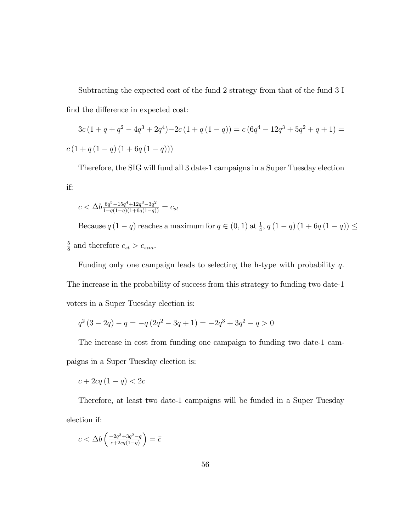Subtracting the expected cost of the fund 2 strategy from that of the fund 3 I find the difference in expected cost:

$$
3c(1+q+q^2-4q^3+2q^4)-2c(1+q(1-q)) = c(6q^4-12q^3+5q^2+q+1) = c(1+q(1-q)(1+6q(1-q)))
$$

Therefore, the SIG will fund all 3 date-1 campaigns in a Super Tuesday election if:

$$
c < \Delta b \frac{6q^5 - 15q^4 + 12q^3 - 3q^2}{1 + q(1 - q)(1 + 6q(1 - q))} = c_{st}
$$

Because  $q(1 - q)$  reaches a maximum for  $q \in (0, 1)$  at  $\frac{1}{4}$ ,  $q(1 - q)(1 + 6q(1 - q)) \le$ 5  $\frac{5}{8}$  and therefore  $c_{st} > c_{sim}$ .

Funding only one campaign leads to selecting the h-type with probability q. The increase in the probability of success from this strategy to funding two date-1 voters in a Super Tuesday election is:

$$
q^{2}(3 - 2q) - q = -q(2q^{2} - 3q + 1) = -2q^{3} + 3q^{2} - q > 0
$$

The increase in cost from funding one campaign to funding two date-1 campaigns in a Super Tuesday election is:

 $c + 2cq(1 - q) < 2c$ 

Therefore, at least two date-1 campaigns will be funded in a Super Tuesday election if:

$$
c<\Delta b\left(\tfrac{-2q^3+3q^2-q}{c+2cq(1-q)}\right)=\bar{c}
$$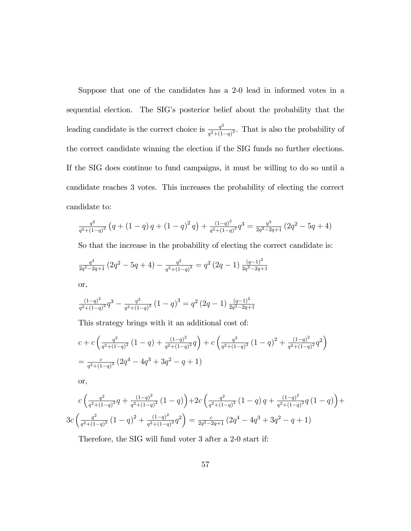Suppose that one of the candidates has a 2-0 lead in informed votes in a sequential election. The SIG's posterior belief about the probability that the leading candidate is the correct choice is  $\frac{q^2}{a^2+(1)}$  $\frac{q^2}{q^2+(1-q)^2}$ . That is also the probability of the correct candidate winning the election if the SIG funds no further elections. If the SIG does continue to fund campaigns, it must be willing to do so until a candidate reaches 3 votes. This increases the probability of electing the correct candidate to:

$$
\frac{q^2}{q^2 + (1-q)^2} \left( q + (1-q) q + (1-q)^2 q \right) + \frac{(1-q)^2}{q^2 + (1-q)^2} q^3 = \frac{q^3}{2q^2 - 2q + 1} \left( 2q^2 - 5q + 4 \right)
$$

So that the increase in the probability of electing the correct candidate is:

$$
\frac{q^3}{2q^2 - 2q + 1} \left( 2q^2 - 5q + 4 \right) - \frac{q^2}{q^2 + (1-q)^2} = q^2 \left( 2q - 1 \right) \frac{(q-1)^2}{2q^2 - 2q + 1}
$$

or,

$$
\frac{(1-q)^2}{q^2+(1-q)^2}q^3 - \frac{q^2}{q^2+(1-q)^2}(1-q)^3 = q^2(2q-1)\frac{(q-1)^2}{2q^2-2q+1}
$$

This strategy brings with it an additional cost of:

$$
c + c \left(\frac{q^2}{q^2 + (1-q)^2} \left(1-q\right) + \frac{(1-q)^2}{q^2 + (1-q)^2} q\right) + c \left(\frac{q^2}{q^2 + (1-q)^2} \left(1-q\right)^2 + \frac{(1-q)^2}{q^2 + (1-q)^2} q^2\right)
$$
  
=  $\frac{c}{q^2 + (1-q)^2} \left(2q^4 - 4q^3 + 3q^2 - q + 1\right)$ 

or,

$$
c\left(\frac{q^2}{q^2+(1-q)^2}q + \frac{(1-q)^2}{q^2+(1-q)^2}\left(1-q\right)\right) + 2c\left(\frac{q^2}{q^2+(1-q)^2}\left(1-q\right)q + \frac{(1-q)^2}{q^2+(1-q)^2}q\left(1-q\right)\right) +
$$
  

$$
3c\left(\frac{q^2}{q^2+(1-q)^2}\left(1-q\right)^2 + \frac{(1-q)^2}{q^2+(1-q)^2}q^2\right) = \frac{c}{2q^2-2q+1}\left(2q^4 - 4q^3 + 3q^2 - q + 1\right)
$$

Therefore, the SIG will fund voter 3 after a 2-0 start if: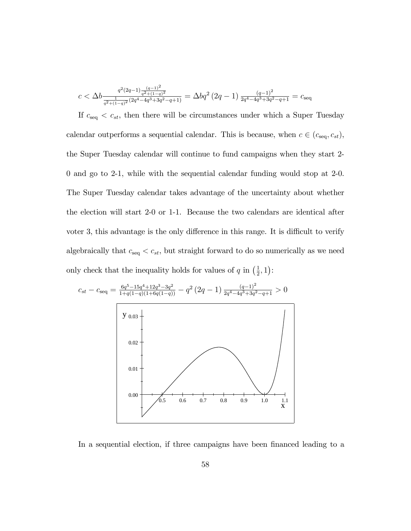$$
c < \Delta b \frac{q^2 (2q-1) \frac{(q-1)^2}{q^2 + (1-q)^2}}{1 - q^2 (2q^4 - 4q^3 + 3q^2 - q + 1)} = \Delta b q^2 (2q - 1) \frac{(q-1)^2}{2q^4 - 4q^3 + 3q^2 - q + 1} = c_{\text{seq}}
$$

If  $c_{\text{seq}} < c_{st}$ , then there will be circumstances under which a Super Tuesday calendar outperforms a sequential calendar. This is because, when  $c \in (c_{\text{seq}}, c_{st}),$ the Super Tuesday calendar will continue to fund campaigns when they start 2- 0 and go to 2-1, while with the sequential calendar funding would stop at 2-0. The Super Tuesday calendar takes advantage of the uncertainty about whether the election will start 2-0 or 1-1. Because the two calendars are identical after voter 3, this advantage is the only difference in this range. It is difficult to verify algebraically that  $c_{\text{seq}} < c_{st}$ , but straight forward to do so numerically as we need only check that the inequality holds for values of q in  $\left(\frac{1}{2}\right)$  $(\frac{1}{2}, 1)$ :



In a sequential election, if three campaigns have been financed leading to a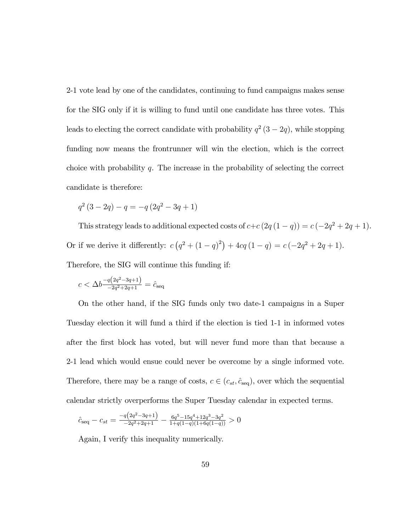2-1 vote lead by one of the candidates, continuing to fund campaigns makes sense for the SIG only if it is willing to fund until one candidate has three votes. This leads to electing the correct candidate with probability  $q^2(3-2q)$ , while stopping funding now means the frontrunner will win the election, which is the correct choice with probability  $q$ . The increase in the probability of selecting the correct candidate is therefore:

$$
q^{2} (3 - 2q) - q = -q (2q^{2} - 3q + 1)
$$

This strategy leads to additional expected costs of  $c+c(2q(1-q)) = c(-2q^2+2q+1)$ . Or if we derive it differently:  $c(q^2 + (1 - q)^2) + 4cq(1 - q) = c(-2q^2 + 2q + 1)$ . Therefore, the SIG will continue this funding if:

$$
c < \Delta b \frac{-q(2q^2 - 3q + 1)}{-2q^2 + 2q + 1} = \hat{c}_{\text{seq}}
$$

On the other hand, if the SIG funds only two date-1 campaigns in a Super Tuesday election it will fund a third if the election is tied 1-1 in informed votes after the Örst block has voted, but will never fund more than that because a 2-1 lead which would ensue could never be overcome by a single informed vote. Therefore, there may be a range of costs,  $c \in (c_{st}, \hat{c}_{seq})$ , over which the sequential calendar strictly overperforms the Super Tuesday calendar in expected terms.

$$
\hat{c}_{\text{seq}} - c_{st} = \frac{-q(2q^2 - 3q + 1)}{-2q^2 + 2q + 1} - \frac{6q^5 - 15q^4 + 12q^3 - 3q^2}{1 + q(1 - q)(1 + 6q(1 - q))} > 0
$$

Again, I verify this inequality numerically.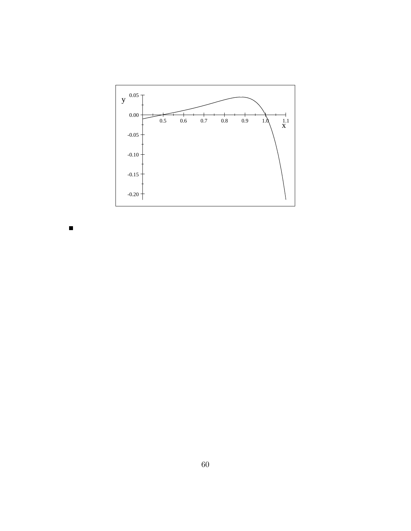

 $\blacksquare$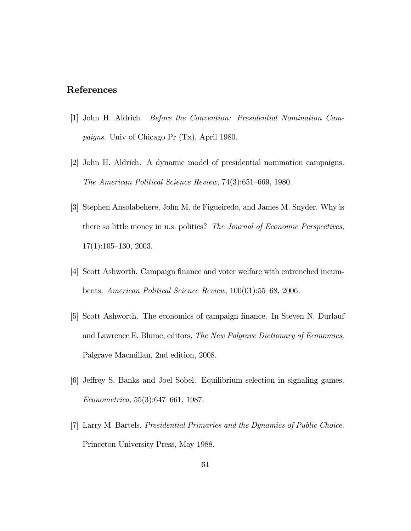## References

- [1] John H. Aldrich. Before the Convention: Presidential Nomination Campaigns. Univ of Chicago Pr (Tx), April 1980.
- [2] John H. Aldrich. A dynamic model of presidential nomination campaigns. The American Political Science Review,  $74(3):651-669$ , 1980.
- [3] Stephen Ansolabehere, John M. de Figueiredo, and James M. Snyder. Why is there so little money in u.s. politics? The Journal of Economic Perspectives,  $17(1):105-130, 2003.$
- [4] Scott Ashworth. Campaign Önance and voter welfare with entrenched incumbents. American Political Science Review,  $100(01):55-68$ , 2006.
- [5] Scott Ashworth. The economics of campaign finance. In Steven N. Durlauf and Lawrence E. Blume, editors, The New Palgrave Dictionary of Economics. Palgrave Macmillan, 2nd edition, 2008.
- [6] Jeffrey S. Banks and Joel Sobel. Equilibrium selection in signaling games.  $Econometrica, 55(3):647–661, 1987.$
- [7] Larry M. Bartels. Presidential Primaries and the Dynamics of Public Choice. Princeton University Press, May 1988.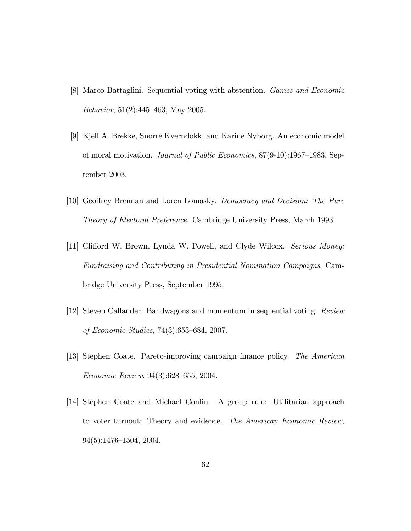- [8] Marco Battaglini. Sequential voting with abstention. Games and Economic Behavior,  $51(2):445-463$ , May 2005.
- [9] Kjell A. Brekke, Snorre Kverndokk, and Karine Nyborg. An economic model of moral motivation. *Journal of Public Economics*,  $87(9-10):1967-1983$ , September 2003.
- [10] Geoffrey Brennan and Loren Lomasky. Democracy and Decision: The Pure Theory of Electoral Preference. Cambridge University Press, March 1993.
- [11] Clifford W. Brown, Lynda W. Powell, and Clyde Wilcox. *Serious Money:* Fundraising and Contributing in Presidential Nomination Campaigns. Cambridge University Press, September 1995.
- [12] Steven Callander. Bandwagons and momentum in sequential voting. Review of Economic Studies,  $74(3):653-684$ , 2007.
- [13] Stephen Coate. Pareto-improving campaign Önance policy. The American Economic Review, 94(3):628–655, 2004.
- [14] Stephen Coate and Michael Conlin. A group rule: Utilitarian approach to voter turnout: Theory and evidence. The American Economic Review,  $94(5):1476-1504, 2004.$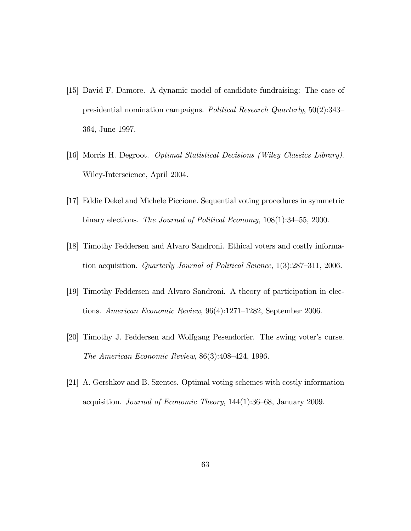- [15] David F. Damore. A dynamic model of candidate fundraising: The case of presidential nomination campaigns. Political Research Quarterly,  $50(2):343-$ 364, June 1997.
- [16] Morris H. Degroot. Optimal Statistical Decisions (Wiley Classics Library). Wiley-Interscience, April 2004.
- [17] Eddie Dekel and Michele Piccione. Sequential voting procedures in symmetric binary elections. The Journal of Political Economy,  $108(1):34-55$ , 2000.
- [18] Timothy Feddersen and Alvaro Sandroni. Ethical voters and costly information acquisition. Quarterly Journal of Political Science,  $1(3):287-311$ , 2006.
- [19] Timothy Feddersen and Alvaro Sandroni. A theory of participation in elections. American Economic Review,  $96(4):1271-1282$ , September 2006.
- [20] Timothy J. Feddersen and Wolfgang Pesendorfer. The swing voter's curse. The American Economic Review,  $86(3):408-424$ , 1996.
- [21] A. Gershkov and B. Szentes. Optimal voting schemes with costly information acquisition. *Journal of Economic Theory*,  $144(1):36-68$ , January 2009.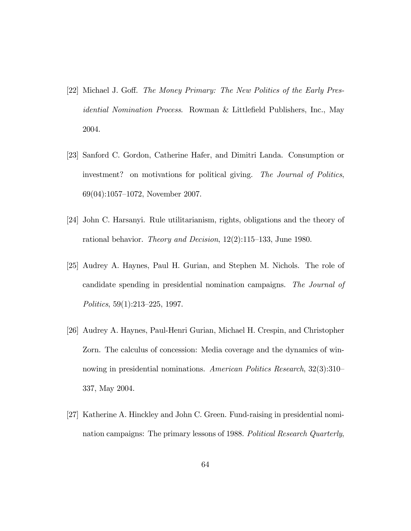- [22] Michael J. Goff. *The Money Primary: The New Politics of the Early Pres*idential Nomination Process. Rowman & Littlefield Publishers, Inc., May 2004.
- [23] Sanford C. Gordon, Catherine Hafer, and Dimitri Landa. Consumption or investment? on motivations for political giving. The Journal of Politics,  $69(04):1057-1072$ , November 2007.
- [24] John C. Harsanyi. Rule utilitarianism, rights, obligations and the theory of rational behavior. Theory and Decision,  $12(2):115–133$ , June 1980.
- [25] Audrey A. Haynes, Paul H. Gurian, and Stephen M. Nichols. The role of candidate spending in presidential nomination campaigns. The Journal of Politics,  $59(1):213-225$ , 1997.
- [26] Audrey A. Haynes, Paul-Henri Gurian, Michael H. Crespin, and Christopher Zorn. The calculus of concession: Media coverage and the dynamics of winnowing in presidential nominations. American Politics Research, 32(3):310– 337, May 2004.
- [27] Katherine A. Hinckley and John C. Green. Fund-raising in presidential nomination campaigns: The primary lessons of 1988. Political Research Quarterly,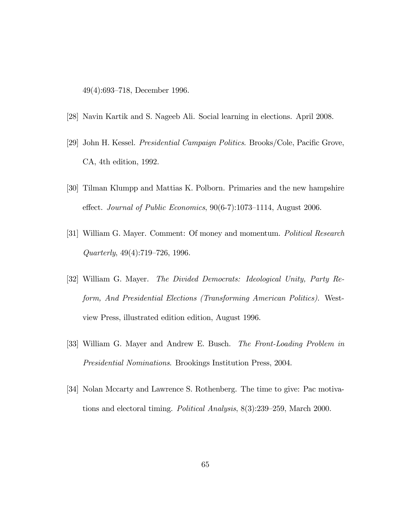$49(4):693-718$ , December 1996.

- [28] Navin Kartik and S. Nageeb Ali. Social learning in elections. April 2008.
- [29] John H. Kessel. *Presidential Campaign Politics*. Brooks/Cole, Pacific Grove, CA, 4th edition, 1992.
- [30] Tilman Klumpp and Mattias K. Polborn. Primaries and the new hampshire effect. Journal of Public Economics,  $90(6-7)$ :1073–1114, August 2006.
- [31] William G. Mayer. Comment: Of money and momentum. Political Research  $Quarterly, 49(4): 719-726, 1996.$
- [32] William G. Mayer. The Divided Democrats: Ideological Unity, Party Reform, And Presidential Elections (Transforming American Politics). Westview Press, illustrated edition edition, August 1996.
- [33] William G. Mayer and Andrew E. Busch. The Front-Loading Problem in Presidential Nominations. Brookings Institution Press, 2004.
- [34] Nolan Mccarty and Lawrence S. Rothenberg. The time to give: Pac motivations and electoral timing. *Political Analysis*,  $8(3):239-259$ , March 2000.